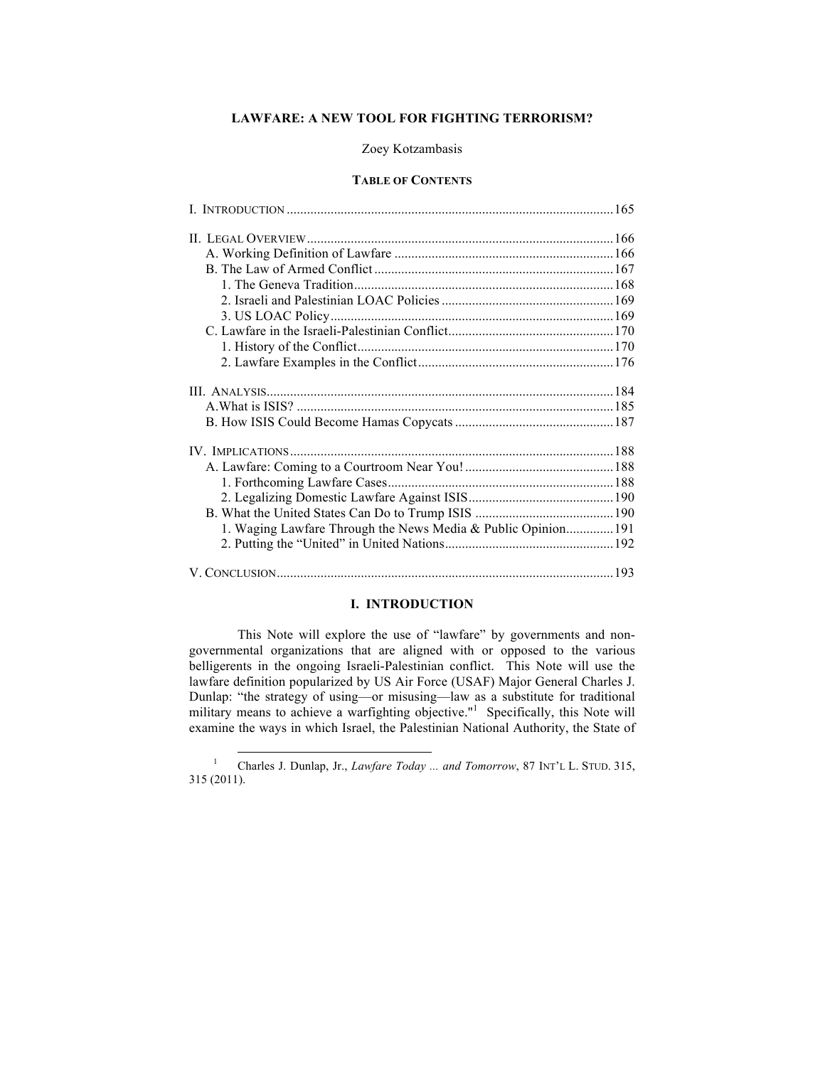# **LAWFARE: A NEW TOOL FOR FIGHTING TERRORISM?**

# Zoey Kotzambasis

## **TABLE OF CONTENTS**

| 1. Waging Lawfare Through the News Media & Public Opinion 191 |  |
|---------------------------------------------------------------|--|
|                                                               |  |
|                                                               |  |

# **I. INTRODUCTION**

This Note will explore the use of "lawfare" by governments and nongovernmental organizations that are aligned with or opposed to the various belligerents in the ongoing Israeli-Palestinian conflict. This Note will use the lawfare definition popularized by US Air Force (USAF) Major General Charles J. Dunlap: "the strategy of using—or misusing—law as a substitute for traditional military means to achieve a warfighting objective."<sup>1</sup> Specifically, this Note will examine the ways in which Israel, the Palestinian National Authority, the State of

<sup>&</sup>lt;sup>1</sup> Charles J. Dunlap, Jr., *Lawfare Today ... and Tomorrow*, 87 INT'L L. STUD. 315, 315 (2011).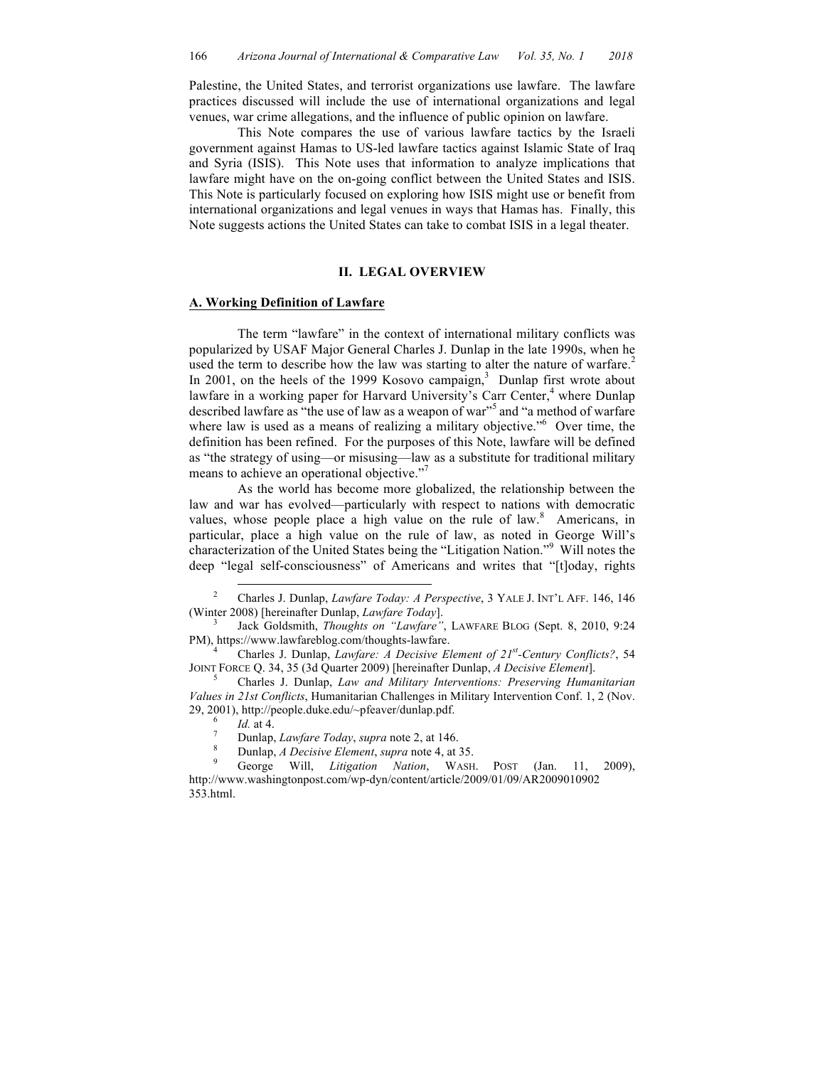Palestine, the United States, and terrorist organizations use lawfare. The lawfare practices discussed will include the use of international organizations and legal venues, war crime allegations, and the influence of public opinion on lawfare.

This Note compares the use of various lawfare tactics by the Israeli government against Hamas to US-led lawfare tactics against Islamic State of Iraq and Syria (ISIS). This Note uses that information to analyze implications that lawfare might have on the on-going conflict between the United States and ISIS. This Note is particularly focused on exploring how ISIS might use or benefit from international organizations and legal venues in ways that Hamas has. Finally, this Note suggests actions the United States can take to combat ISIS in a legal theater.

## **II. LEGAL OVERVIEW**

# **A. Working Definition of Lawfare**

The term "lawfare" in the context of international military conflicts was popularized by USAF Major General Charles J. Dunlap in the late 1990s, when he used the term to describe how the law was starting to alter the nature of warfare.<sup>2</sup> In 2001, on the heels of the 1999 Kosovo campaign, $3$  Dunlap first wrote about lawfare in a working paper for Harvard University's Carr Center, $4$  where Dunlap described lawfare as "the use of law as a weapon of war"<sup>5</sup> and "a method of warfare where law is used as a means of realizing a military objective."<sup>6</sup> Over time, the definition has been refined. For the purposes of this Note, lawfare will be defined as "the strategy of using—or misusing—law as a substitute for traditional military means to achieve an operational objective."<sup>7</sup>

As the world has become more globalized, the relationship between the law and war has evolved—particularly with respect to nations with democratic values, whose people place a high value on the rule of law.<sup>8</sup> Americans, in particular, place a high value on the rule of law, as noted in George Will's characterization of the United States being the "Litigation Nation."<sup>9</sup> Will notes the deep "legal self-consciousness" of Americans and writes that "[t]oday, rights

 <sup>2</sup> Charles J. Dunlap, *Lawfare Today: A Perspective*, 3 YALE J. INT'L AFF. 146, 146

<sup>(</sup>Winter 2008) [hereinafter Dunlap, *Lawfare Today*]. <sup>3</sup> Jack Goldsmith, *Thoughts on "Lawfare"*, LAWFARE BLOG (Sept. 8, 2010, 9:24 PM), https://www.lawfareblog.com/thoughts-lawfare. 4 Charles J. Dunlap, *Lawfare: A Decisive Element of 21st -Century Conflicts?*, 54

JOINT FORCE Q. 34, 35 (3d Quarter 2009) [hereinafter Dunlap, *A Decisive Element*]. <sup>5</sup> Charles J. Dunlap, *Law and Military Interventions: Preserving Humanitarian* 

*Values in 21st Conflicts*, Humanitarian Challenges in Military Intervention Conf. 1, 2 (Nov. 29, 2001), http://people.duke.edu/~pfeaver/dunlap.pdf.<br>
<sup>6</sup> Id. at 4.<br>
<sup>7</sup> Dunlap, *Lawfare Today*, *supra* note 2, at 146.<br>
<sup>8</sup> Dunlap, *A Decisive Element*, *supra* note 4, at 35.<br>
<sup>9</sup> George Will, *Litigation Nation*,

http://www.washingtonpost.com/wp-dyn/content/article/2009/01/09/AR2009010902 353.html.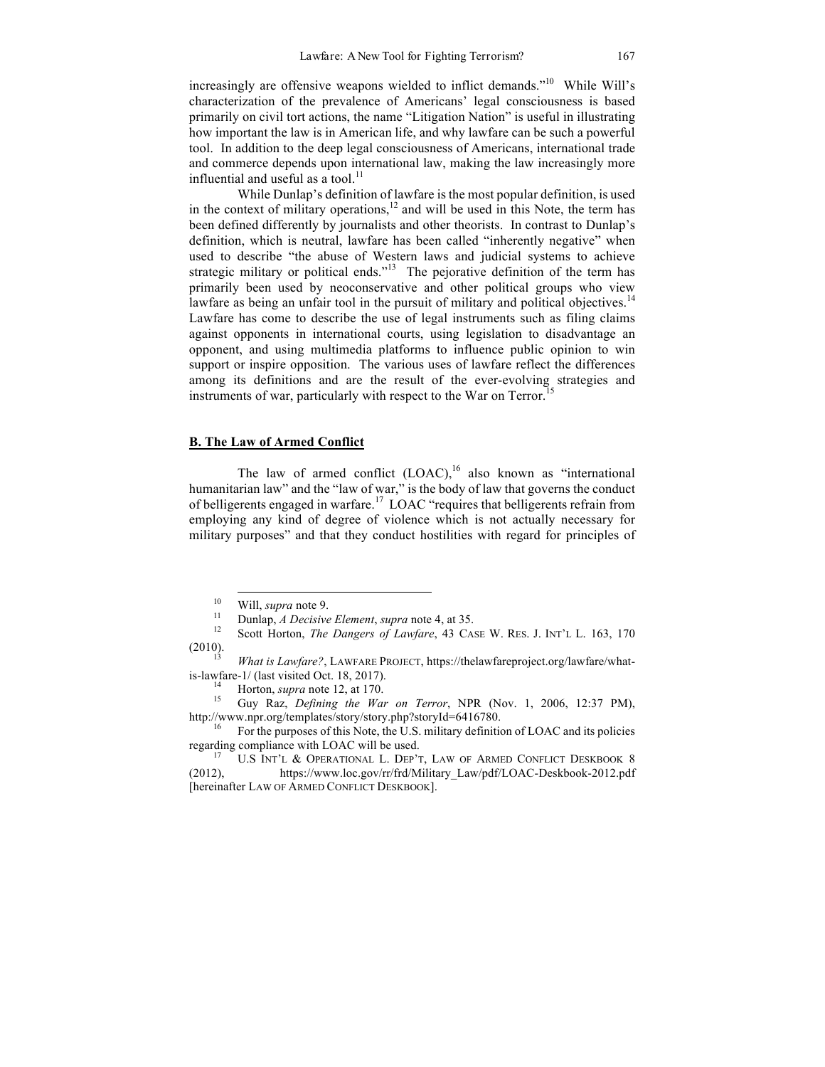increasingly are offensive weapons wielded to inflict demands."<sup>10</sup> While Will's characterization of the prevalence of Americans' legal consciousness is based primarily on civil tort actions, the name "Litigation Nation" is useful in illustrating how important the law is in American life, and why lawfare can be such a powerful tool. In addition to the deep legal consciousness of Americans, international trade and commerce depends upon international law, making the law increasingly more influential and useful as a tool.<sup>11</sup>

While Dunlap's definition of lawfare is the most popular definition, is used in the context of military operations, $12$  and will be used in this Note, the term has been defined differently by journalists and other theorists. In contrast to Dunlap's definition, which is neutral, lawfare has been called "inherently negative" when used to describe "the abuse of Western laws and judicial systems to achieve strategic military or political ends."<sup>13</sup> The pejorative definition of the term has primarily been used by neoconservative and other political groups who view lawfare as being an unfair tool in the pursuit of military and political objectives.<sup>14</sup> Lawfare has come to describe the use of legal instruments such as filing claims against opponents in international courts, using legislation to disadvantage an opponent, and using multimedia platforms to influence public opinion to win support or inspire opposition. The various uses of lawfare reflect the differences among its definitions and are the result of the ever-evolving strategies and instruments of war, particularly with respect to the War on Terror.<sup>15</sup>

# **B. The Law of Armed Conflict**

The law of armed conflict  $(LOAC)$ ,<sup>16</sup> also known as "international humanitarian law" and the "law of war," is the body of law that governs the conduct of belligerents engaged in warfare.17 LOAC "requires that belligerents refrain from employing any kind of degree of violence which is not actually necessary for military purposes" and that they conduct hostilities with regard for principles of

<sup>10</sup> Will, *supra* note 9.<br>
<sup>11</sup> Dunlap, *A Decisive Element*, *supra* note 4, at 35.<br>
Scott Horton, *The Dangers of Lawfare*, 43 CASE W. RES. J. INT'L L. 163, 170<br>
(2010).

<sup>(2010). 13</sup> *What is Lawfare?*, LAWFARE PROJECT, https://thelawfareproject.org/lawfare/whatis-lawfare-1/ (last visited Oct. 18, 2017). <sup>14</sup> Horton, *supra* note 12, at 170. <sup>15</sup> Guy Raz, *Defining the War on Terror*, NPR (Nov. 1, 2006, 12:37 PM),

http://www.npr.org/templates/story/story.php?storyId=6416780.

<sup>16</sup> For the purposes of this Note, the U.S. military definition of LOAC and its policies regarding compliance with LOAC will be used.<br><sup>17</sup> U.S INT'L & OPERATIONAL L. DEP'T, LAW OF ARMED CONFLICT DESKBOOK 8

<sup>(2012),</sup> https://www.loc.gov/rr/frd/Military\_Law/pdf/LOAC-Deskbook-2012.pdf [hereinafter LAW OF ARMED CONFLICT DESKBOOK].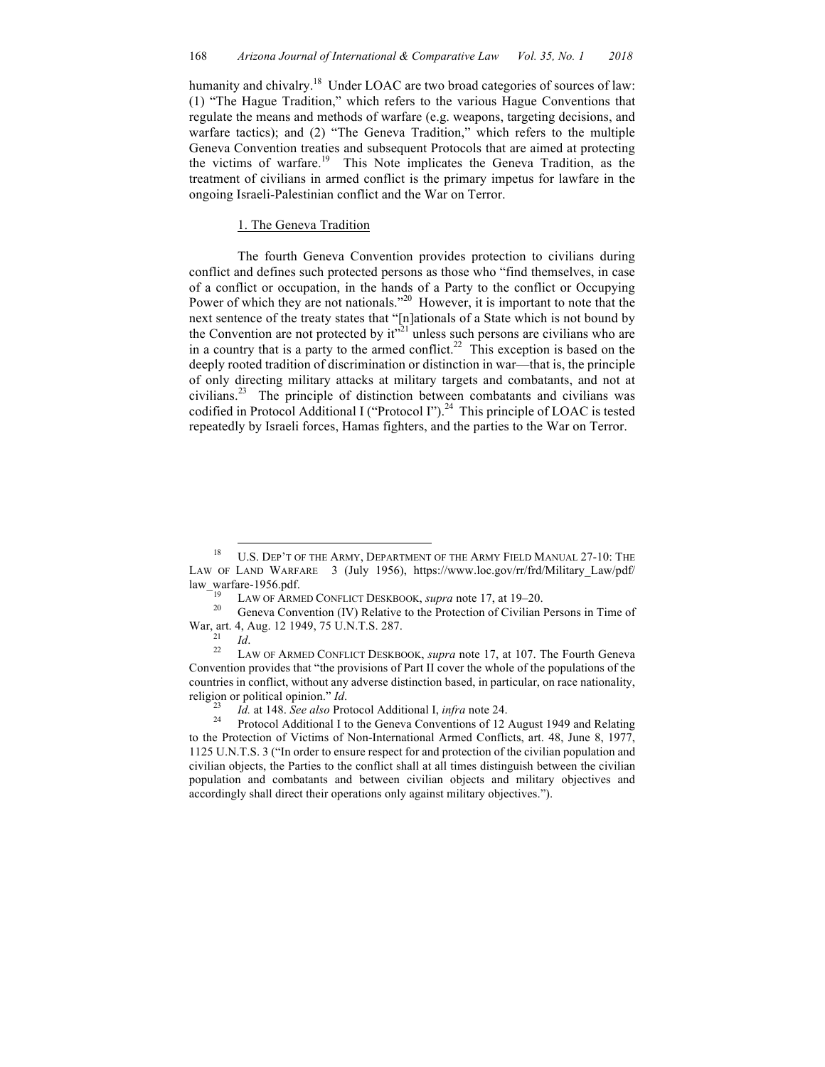humanity and chivalry.<sup>18</sup> Under LOAC are two broad categories of sources of law: (1) "The Hague Tradition," which refers to the various Hague Conventions that regulate the means and methods of warfare (e.g. weapons, targeting decisions, and warfare tactics); and (2) "The Geneva Tradition," which refers to the multiple Geneva Convention treaties and subsequent Protocols that are aimed at protecting the victims of warfare.<sup>19</sup> This Note implicates the Geneva Tradition, as the treatment of civilians in armed conflict is the primary impetus for lawfare in the ongoing Israeli-Palestinian conflict and the War on Terror.

### 1. The Geneva Tradition

The fourth Geneva Convention provides protection to civilians during conflict and defines such protected persons as those who "find themselves, in case of a conflict or occupation, in the hands of a Party to the conflict or Occupying Power of which they are not nationals."<sup>20</sup> However, it is important to note that the next sentence of the treaty states that "[n]ationals of a State which is not bound by the Convention are not protected by  $it''^{21}$  unless such persons are civilians who are in a country that is a party to the armed conflict.<sup>22</sup> This exception is based on the deeply rooted tradition of discrimination or distinction in war—that is, the principle of only directing military attacks at military targets and combatants, and not at civilians.23 The principle of distinction between combatants and civilians was codified in Protocol Additional I ("Protocol I").<sup>24</sup> This principle of LOAC is tested repeatedly by Israeli forces, Hamas fighters, and the parties to the War on Terror.

<sup>&</sup>lt;sup>18</sup> U.S. DEP'T OF THE ARMY, DEPARTMENT OF THE ARMY FIELD MANUAL 27-10: THE LAW OF LAND WARFARE 3 (July 1956), https://www.loc.gov/rr/frd/Military\_Law/pdf/

law\_warfare-1956.pdf.<br>
<sup>19</sup> LAW OF ARMED CONFLICT DESKBOOK, *supra* note 17, at 19–20.<br>
<sup>20</sup> Geneva Convention (IV) Relative to the Protection of Civilian Persons in Time of<br>
War, art. 4, Aug. 12 1949, 75 U.N.T.S. 287.

<sup>&</sup>lt;sup>21</sup> *Id.* 22 LAW OF ARMED CONFLICT DESKBOOK, *supra* note 17, at 107. The Fourth Geneva Convention provides that "the provisions of Part II cover the whole of the populations of the countries in conflict, without any adverse distinction based, in particular, on race nationality, religion or political opinion." *Id.*<br><sup>23</sup> *Id.* at 148. *See also* Protocol Additional I, *infra* note 24.<br><sup>24</sup> Protocol Additional I to the Geneva Conventions of 12 August 1949 and Relating

to the Protection of Victims of Non-International Armed Conflicts, art. 48, June 8, 1977, 1125 U.N.T.S. 3 ("In order to ensure respect for and protection of the civilian population and civilian objects, the Parties to the conflict shall at all times distinguish between the civilian population and combatants and between civilian objects and military objectives and accordingly shall direct their operations only against military objectives.").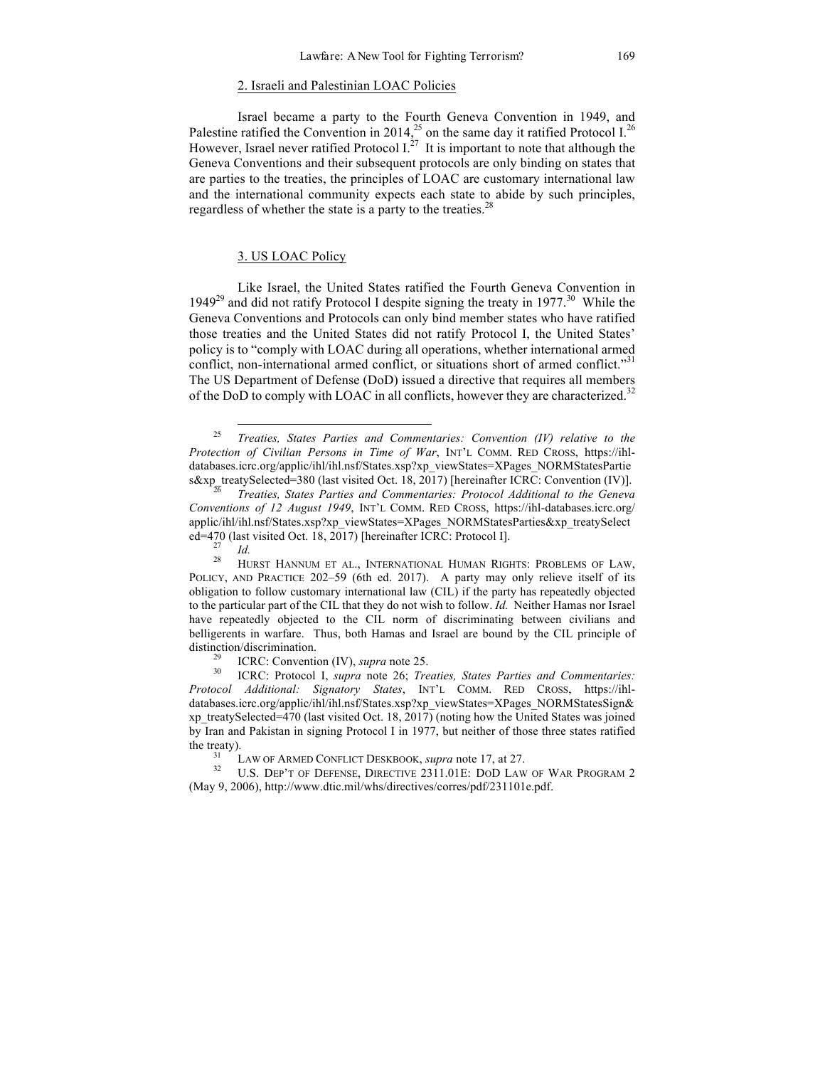#### 2. Israeli and Palestinian LOAC Policies

Israel became a party to the Fourth Geneva Convention in 1949, and Palestine ratified the Convention in 2014,<sup>25</sup> on the same day it ratified Protocol I.<sup>26</sup> However, Israel never ratified Protocol  $I^{27}$ . It is important to note that although the Geneva Conventions and their subsequent protocols are only binding on states that are parties to the treaties, the principles of LOAC are customary international law and the international community expects each state to abide by such principles, regardless of whether the state is a party to the treaties. $^{28}$ 

# 3. US LOAC Policy

Like Israel, the United States ratified the Fourth Geneva Convention in 1949<sup>29</sup> and did not ratify Protocol I despite signing the treaty in 1977.<sup>30</sup> While the Geneva Conventions and Protocols can only bind member states who have ratified those treaties and the United States did not ratify Protocol I, the United States' policy is to "comply with LOAC during all operations, whether international armed conflict, non-international armed conflict, or situations short of armed conflict."<sup>31</sup> The US Department of Defense (DoD) issued a directive that requires all members of the DoD to comply with LOAC in all conflicts, however they are characterized.<sup>32</sup>

 <sup>25</sup> *Treaties, States Parties and Commentaries: Convention (IV) relative to the Protection of Civilian Persons in Time of War*, INT'L COMM. RED CROSS, https://ihldatabases.icrc.org/applic/ihl/ihl.nsf/States.xsp?xp\_viewStates=XPages\_NORMStatesPartie s&xp\_treatySelected=380 (last visited Oct. 18, 2017) [hereinafter ICRC: Convention (IV)]. <sup>26</sup> *Treaties, States Parties and Commentaries: Protocol Additional to the Geneva* 

*Conventions of 12 August 1949*, INT'L COMM. RED CROSS, https://ihl-databases.icrc.org/ applic/ihl/ihl.nsf/States.xsp?xp\_viewStates=XPages\_NORMStatesParties&xp\_treatySelect ed=470 (last visited Oct. 18, 2017) [hereinafter ICRC: Protocol I].<br><sup>27</sup> *Id.* 28 HURST HANNUM ET AL., INTERNATIONAL HUMAN RIGHTS: PROBLEMS OF LAW,

POLICY, AND PRACTICE 202–59 (6th ed. 2017). A party may only relieve itself of its obligation to follow customary international law (CIL) if the party has repeatedly objected to the particular part of the CIL that they do not wish to follow. *Id.* Neither Hamas nor Israel have repeatedly objected to the CIL norm of discriminating between civilians and belligerents in warfare. Thus, both Hamas and Israel are bound by the CIL principle of distinction/discrimination.<br><sup>29</sup> ICRC: Convention (IV), *supra* note 25.<br><sup>30</sup> ICRC: Protocol I, *supra* note 26; *Treaties, States Parties and Commentaries:* 

*Protocol Additional: Signatory States*, INT'L COMM. RED CROSS, https://ihldatabases.icrc.org/applic/ihl/ihl.nsf/States.xsp?xp\_viewStates=XPages\_NORMStatesSign& xp\_treatySelected=470 (last visited Oct. 18, 2017) (noting how the United States was joined by Iran and Pakistan in signing Protocol I in 1977, but neither of those three states ratified the treaty).

<sup>&</sup>lt;sup>31</sup> LAW OF ARMED CONFLICT DESKBOOK, *supra* note 17, at 27.<br><sup>32</sup> U.S. Dep't of Defense, Directive 2311.01E: DOD LAW OF WAR PROGRAM 2 (May 9, 2006), http://www.dtic.mil/whs/directives/corres/pdf/231101e.pdf.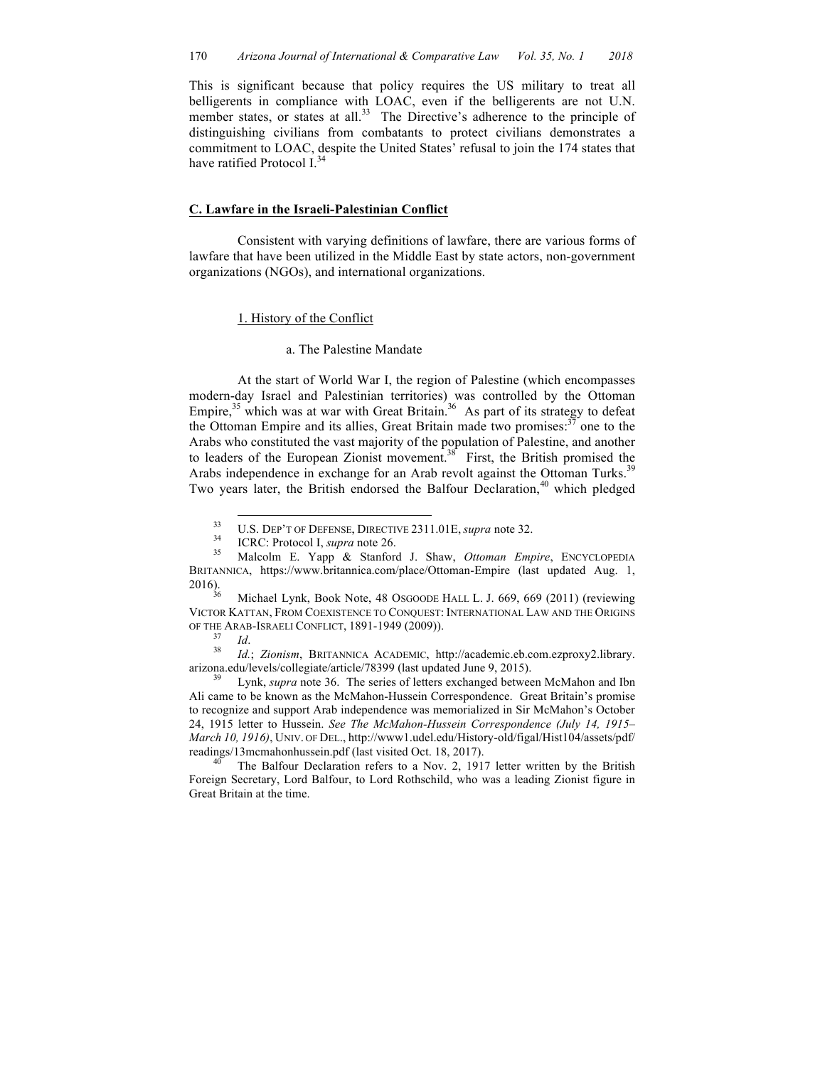This is significant because that policy requires the US military to treat all belligerents in compliance with LOAC, even if the belligerents are not U.N. member states, or states at all.<sup>33</sup> The Directive's adherence to the principle of distinguishing civilians from combatants to protect civilians demonstrates a commitment to LOAC, despite the United States' refusal to join the 174 states that have ratified Protocol I.<sup>34</sup>

#### **C. Lawfare in the Israeli-Palestinian Conflict**

Consistent with varying definitions of lawfare, there are various forms of lawfare that have been utilized in the Middle East by state actors, non-government organizations (NGOs), and international organizations.

# 1. History of the Conflict

#### a. The Palestine Mandate

At the start of World War I, the region of Palestine (which encompasses modern-day Israel and Palestinian territories) was controlled by the Ottoman Empire,<sup>35</sup> which was at war with Great Britain.<sup>36</sup> As part of its strategy to defeat the Ottoman Empire and its allies, Great Britain made two promises.<sup>37</sup> one to the Arabs who constituted the vast majority of the population of Palestine, and another to leaders of the European Zionist movement.<sup>38</sup> First, the British promised the Arabs independence in exchange for an Arab revolt against the Ottoman Turks.<sup>39</sup> Two years later, the British endorsed the Balfour Declaration,<sup>40</sup> which pledged

2016). <sup>36</sup> Michael Lynk, Book Note, 48 OSGOODE HALL L. J. 669, 669 (2011) (reviewing VICTOR KATTAN, FROM COEXISTENCE TO CONQUEST: INTERNATIONAL LAW AND THE ORIGINS OF THE ARAB-ISRAELI CONFLICT, 1891-1949 (2009)). 37 *Id*. <sup>38</sup> *Id.*; *Zionism*, BRITANNICA ACADEMIC, http://academic.eb.com.ezproxy2.library.

arizona.edu/levels/collegiate/article/78399 (last updated June 9, 2015). <sup>39</sup> Lynk, *supra* note 36. The series of letters exchanged between McMahon and Ibn

Ali came to be known as the McMahon-Hussein Correspondence. Great Britain's promise to recognize and support Arab independence was memorialized in Sir McMahon's October 24, 1915 letter to Hussein. *See The McMahon-Hussein Correspondence (July 14, 1915– March 10, 1916)*, UNIV. OF DEL., http://www1.udel.edu/History-old/figal/Hist104/assets/pdf/ readings/13mcmahonhussein.pdf (last visited Oct. 18, 2017).<br><sup>40</sup> The Balfour Declaration refers to a Nov. 2, 1917 letter written by the British

Foreign Secretary, Lord Balfour, to Lord Rothschild, who was a leading Zionist figure in Great Britain at the time.

<sup>33</sup> U.S. DEP'T OF DEFENSE, DIRECTIVE 2311.01E, *supra* note 32. <sup>34</sup> ICRC: Protocol I, *supra* note 26. <sup>35</sup> Malcolm E. Yapp & Stanford J. Shaw, *Ottoman Empire*, ENCYCLOPEDIA BRITANNICA, https://www.britannica.com/place/Ottoman-Empire (last updated Aug. 1, 2016).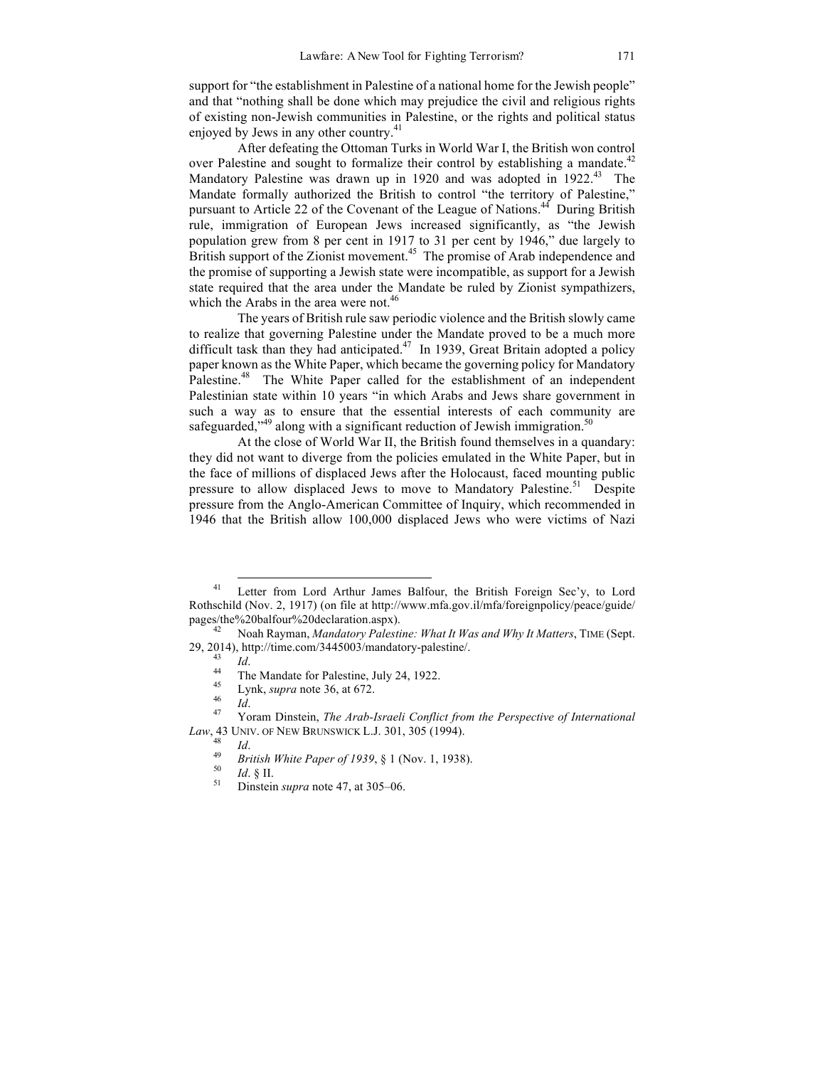support for "the establishment in Palestine of a national home for the Jewish people" and that "nothing shall be done which may prejudice the civil and religious rights of existing non-Jewish communities in Palestine, or the rights and political status enjoyed by Jews in any other country.<sup>41</sup>

After defeating the Ottoman Turks in World War I, the British won control over Palestine and sought to formalize their control by establishing a mandate.<sup>42</sup> Mandatory Palestine was drawn up in 1920 and was adopted in 1922.<sup>43</sup> The Mandate formally authorized the British to control "the territory of Palestine," pursuant to Article 22 of the Covenant of the League of Nations.<sup>44</sup> During British rule, immigration of European Jews increased significantly, as "the Jewish population grew from 8 per cent in 1917 to 31 per cent by 1946," due largely to British support of the Zionist movement.<sup>45</sup> The promise of Arab independence and the promise of supporting a Jewish state were incompatible, as support for a Jewish state required that the area under the Mandate be ruled by Zionist sympathizers, which the Arabs in the area were not. $46$ 

The years of British rule saw periodic violence and the British slowly came to realize that governing Palestine under the Mandate proved to be a much more difficult task than they had anticipated.<sup>47</sup> In 1939, Great Britain adopted a policy paper known as the White Paper, which became the governing policy for Mandatory Palestine.<sup>48</sup> The White Paper called for the establishment of an independent Palestinian state within 10 years "in which Arabs and Jews share government in such a way as to ensure that the essential interests of each community are safeguarded,"<sup>49</sup> along with a significant reduction of Jewish immigration.<sup>50</sup>

At the close of World War II, the British found themselves in a quandary: they did not want to diverge from the policies emulated in the White Paper, but in the face of millions of displaced Jews after the Holocaust, faced mounting public pressure to allow displaced Jews to move to Mandatory Palestine.<sup>51</sup> Despite pressure from the Anglo-American Committee of Inquiry, which recommended in 1946 that the British allow 100,000 displaced Jews who were victims of Nazi

<sup>&</sup>lt;sup>41</sup> Letter from Lord Arthur James Balfour, the British Foreign Sec'y, to Lord Rothschild (Nov. 2, 1917) (on file at http://www.mfa.gov.il/mfa/foreignpolicy/peace/guide/ pages/the%20balfour%20declaration.aspx). <sup>42</sup> Noah Rayman, *Mandatory Palestine: What It Was and Why It Matters*, TIME (Sept.

<sup>29, 2014),</sup> http://time.com/3445003/mandatory-palestine/.<br>
<sup>43</sup> *Id.*<br>
<sup>44</sup> The Mandate for Palestine, July 24, 1922.<br>
<sup>45</sup> Lynk, *supra* note 36, at 672.<br>
<sup>46</sup> *Id.*<br>
<sup>47</sup> Yoram Dinstein, *The Arab-Israeli Conflict from t* 

*Law*, 43 UNIV. OF NEW BRUNSWICK L.J. 301, 305 (1994).<br>
<sup>48</sup> *Id.*<br>
<sup>49</sup> *British White Paper of 1939*, § 1 (Nov. 1, 1938).<br>
<sup>50</sup> *Id.* § II.<br>
Dinstein *supra* note 47, at 305–06.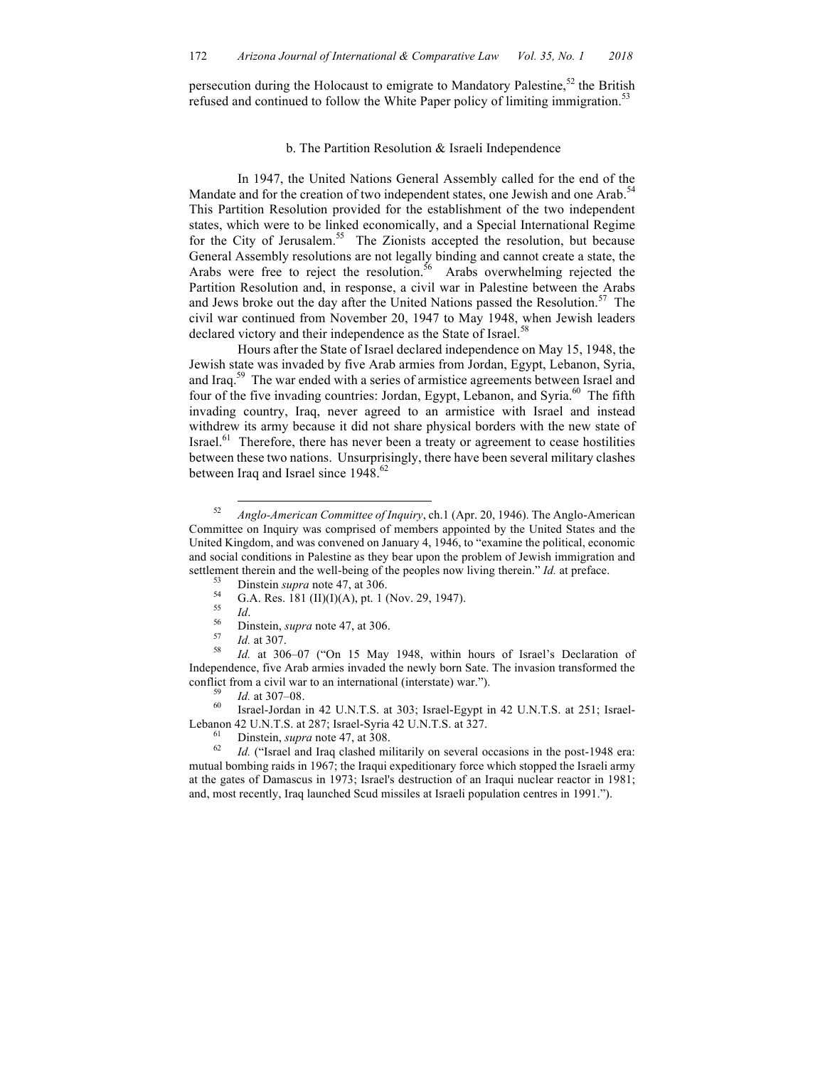persecution during the Holocaust to emigrate to Mandatory Palestine,<sup>52</sup> the British refused and continued to follow the White Paper policy of limiting immigration.<sup>53</sup>

## b. The Partition Resolution & Israeli Independence

In 1947, the United Nations General Assembly called for the end of the Mandate and for the creation of two independent states, one Jewish and one Arab.<sup>54</sup> This Partition Resolution provided for the establishment of the two independent states, which were to be linked economically, and a Special International Regime for the City of Jerusalem.<sup>55</sup> The Zionists accepted the resolution, but because General Assembly resolutions are not legally binding and cannot create a state, the Arabs were free to reject the resolution.<sup>56</sup> Arabs overwhelming rejected the Partition Resolution and, in response, a civil war in Palestine between the Arabs and Jews broke out the day after the United Nations passed the Resolution. <sup>57</sup> The civil war continued from November 20, 1947 to May 1948, when Jewish leaders declared victory and their independence as the State of Israel.<sup>58</sup>

Hours after the State of Israel declared independence on May 15, 1948, the Jewish state was invaded by five Arab armies from Jordan, Egypt, Lebanon, Syria, and Iraq.59 The war ended with a series of armistice agreements between Israel and four of the five invading countries: Jordan, Egypt, Lebanon, and Syria.<sup>60</sup> The fifth invading country, Iraq, never agreed to an armistice with Israel and instead withdrew its army because it did not share physical borders with the new state of Israel. $61$  Therefore, there has never been a treaty or agreement to cease hostilities between these two nations. Unsurprisingly, there have been several military clashes between Iraq and Israel since 1948.<sup>62</sup>

- 
- 

Lebanon 42 U.N.T.S. at 287; Israel-Syria 42 U.N.T.S. at 327.<br><sup>61</sup> Dinstein, *supra* note 47, at 308.<br><sup>62</sup> *Id.* ("Israel and Iraq clashed militarily on several occasions in the post-1948 era:

mutual bombing raids in 1967; the Iraqui expeditionary force which stopped the Israeli army at the gates of Damascus in 1973; Israel's destruction of an Iraqui nuclear reactor in 1981; and, most recently, Iraq launched Scud missiles at Israeli population centres in 1991.").

 <sup>52</sup> *Anglo-American Committee of Inquiry*, ch.1 (Apr. 20, 1946). The Anglo-American Committee on Inquiry was comprised of members appointed by the United States and the United Kingdom, and was convened on January 4, 1946, to "examine the political, economic and social conditions in Palestine as they bear upon the problem of Jewish immigration and settlement therein and the well-being of the peoples now living therein." *Id.* at preface.<br>
<sup>53</sup> Dinstein *supra* note 47, at 306.<br>
<sup>54</sup> G.A. Res. 181 (II)(I)(A), pt. 1 (Nov. 29, 1947).<br>
<sup>55</sup> *Id.*<br>
<sup>56</sup> Dinstein, *supra* 

Independence, five Arab armies invaded the newly born Sate. The invasion transformed the conflict from a civil war to an international (interstate) war.").<br><sup>59</sup> *Id.* at 307–08.<br><sup>60</sup> Israel-Jordan in 42 U.N.T.S. at 303; Israel-Egypt in 42 U.N.T.S. at 251; Israel-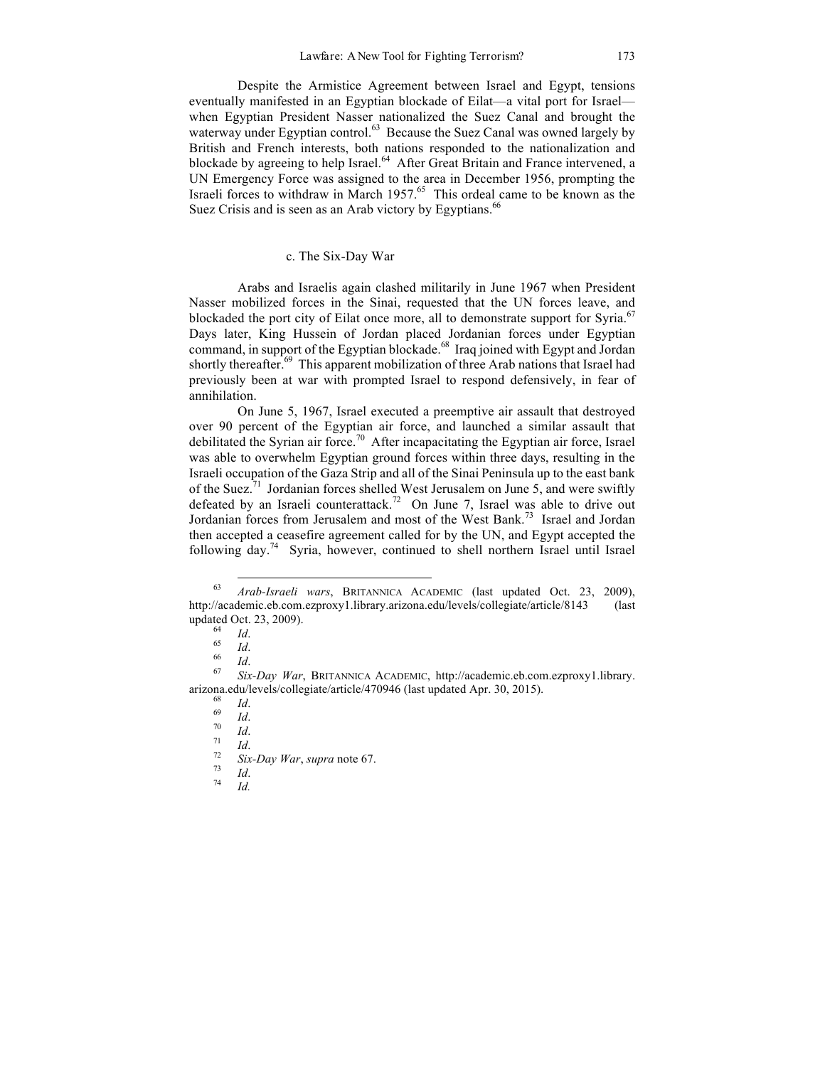Despite the Armistice Agreement between Israel and Egypt, tensions eventually manifested in an Egyptian blockade of Eilat—a vital port for Israel when Egyptian President Nasser nationalized the Suez Canal and brought the waterway under Egyptian control.<sup>63</sup> Because the Suez Canal was owned largely by British and French interests, both nations responded to the nationalization and blockade by agreeing to help Israel.<sup>64</sup> After Great Britain and France intervened, a UN Emergency Force was assigned to the area in December 1956, prompting the Israeli forces to withdraw in March  $1957$ .<sup>65</sup> This ordeal came to be known as the Suez Crisis and is seen as an Arab victory by Egyptians.<sup>66</sup>

# c. The Six-Day War

Arabs and Israelis again clashed militarily in June 1967 when President Nasser mobilized forces in the Sinai, requested that the UN forces leave, and blockaded the port city of Eilat once more, all to demonstrate support for Syria.<sup>67</sup> Days later, King Hussein of Jordan placed Jordanian forces under Egyptian command, in support of the Egyptian blockade.<sup>68</sup> Iraq joined with Egypt and Jordan shortly thereafter.<sup>69</sup> This apparent mobilization of three Arab nations that Israel had previously been at war with prompted Israel to respond defensively, in fear of annihilation.

On June 5, 1967, Israel executed a preemptive air assault that destroyed over 90 percent of the Egyptian air force, and launched a similar assault that debilitated the Syrian air force.<sup>70</sup> After incapacitating the Egyptian air force, Israel was able to overwhelm Egyptian ground forces within three days, resulting in the Israeli occupation of the Gaza Strip and all of the Sinai Peninsula up to the east bank of the Suez.<sup>71</sup> Jordanian forces shelled West Jerusalem on June 5, and were swiftly defeated by an Israeli counterattack.<sup>72</sup> On June 7, Israel was able to drive out Jordanian forces from Jerusalem and most of the West Bank. <sup>73</sup> Israel and Jordan then accepted a ceasefire agreement called for by the UN, and Egypt accepted the following day.<sup>74</sup> Syria, however, continued to shell northern Israel until Israel

 <sup>63</sup> *Arab-Israeli wars*, BRITANNICA ACADEMIC (last updated Oct. 23, 2009), http://academic.eb.com.ezproxy1.library.arizona.edu/levels/collegiate/article/8143 (last updated Oct. 23, 2009).<br>
<sup>64</sup> *Id.*<br>
<sup>66</sup> *Id.*<br>
<sup>67</sup> *Six-Day War*, BRITANNICA ACADEMIC, http://academic.eb.com.ezproxy1.library.

arizona.edu/levels/collegiate/article/470946 (last updated Apr. 30, 2015).<br>
<sup>68</sup> *Id.*<br>
<sup>70</sup> *Id.*<br>
<sup>71</sup> *Id.*<br>
<sup>72</sup> *Six-Day War*, *supra* note 67.<br>
<sup>73</sup> *Id.*<br>
<sup>74</sup> *Id.*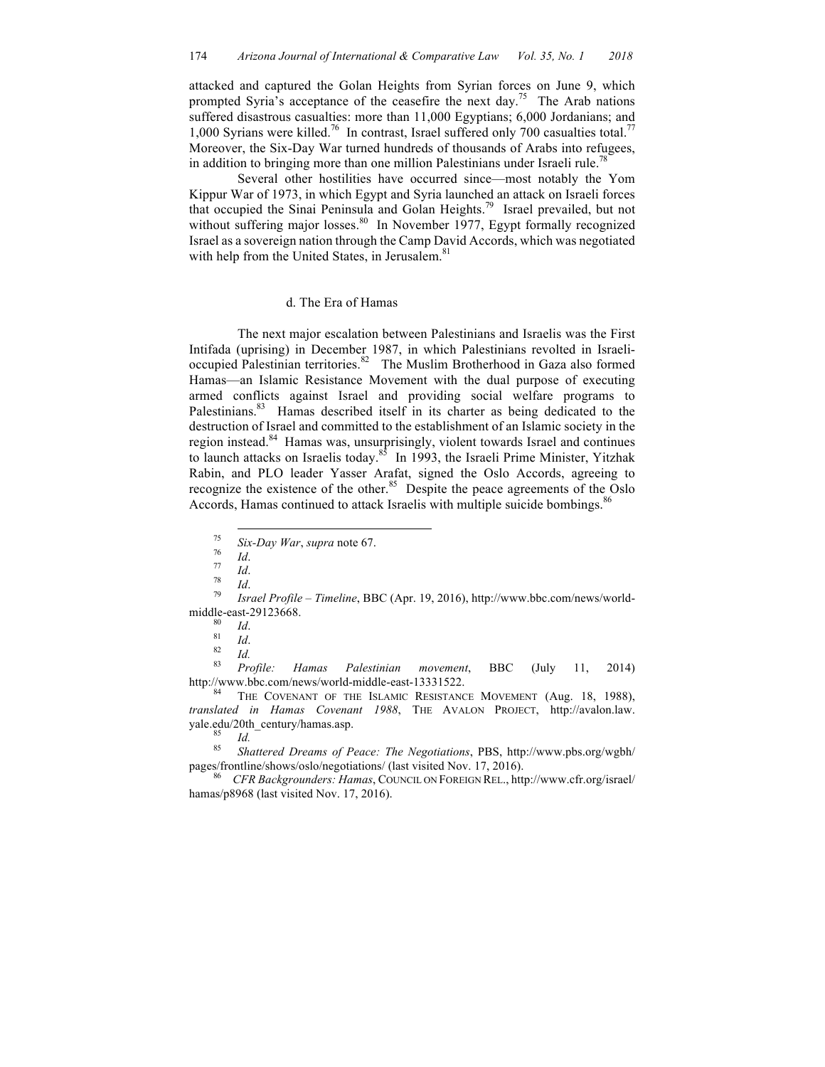attacked and captured the Golan Heights from Syrian forces on June 9, which prompted Syria's acceptance of the ceasefire the next day.<sup>75</sup> The Arab nations suffered disastrous casualties: more than 11,000 Egyptians; 6,000 Jordanians; and 1,000 Syrians were killed.<sup>76</sup> In contrast, Israel suffered only 700 casualties total.<sup>77</sup> Moreover, the Six-Day War turned hundreds of thousands of Arabs into refugees, in addition to bringing more than one million Palestinians under Israeli rule.<sup>78</sup>

Several other hostilities have occurred since—most notably the Yom Kippur War of 1973, in which Egypt and Syria launched an attack on Israeli forces that occupied the Sinai Peninsula and Golan Heights. <sup>79</sup> Israel prevailed, but not without suffering major losses.<sup>80</sup> In November 1977, Egypt formally recognized Israel as a sovereign nation through the Camp David Accords, which was negotiated with help from the United States, in Jerusalem.<sup>81</sup>

## d. The Era of Hamas

The next major escalation between Palestinians and Israelis was the First Intifada (uprising) in December 1987, in which Palestinians revolted in Israelioccupied Palestinian territories.<sup>82</sup> The Muslim Brotherhood in Gaza also formed Hamas—an Islamic Resistance Movement with the dual purpose of executing armed conflicts against Israel and providing social welfare programs to Palestinians.<sup>83</sup> Hamas described itself in its charter as being dedicated to the destruction of Israel and committed to the establishment of an Islamic society in the region instead.<sup>84</sup> Hamas was, unsurprisingly, violent towards Israel and continues to launch attacks on Israelis today.<sup>85</sup> In 1993, the Israeli Prime Minister, Yitzhak Rabin, and PLO leader Yasser Arafat, signed the Oslo Accords, agreeing to recognize the existence of the other.<sup>85</sup> Despite the peace agreements of the Oslo Accords, Hamas continued to attack Israelis with multiple suicide bombings.<sup>86</sup>

<sup>75</sup> *Six-Day War*, *supra* note 67. <sup>76</sup> *Id*. <sup>77</sup> *Id*. <sup>78</sup> *Id*. <sup>79</sup> *Israel Profile – Timeline*, BBC (Apr. 19, 2016), http://www.bbc.com/news/world-

middle-east-29123668.<br>
<sup>80</sup> *Id.*<br>
<sup>81</sup> *Id.*<br>
<sup>83</sup> *Profile: Hamas Palestinian movement*, BBC (July 11, 2014)

http://www.bbc.com/news/world-middle-east-13331522.<br><sup>84</sup> THE COVENANT OF THE ISLAMIC RESISTANCE MOVEMENT (Aug. 18, 1988), *translated in Hamas Covenant 1988*, THE AVALON PROJECT, http://avalon.law. yale.edu/20th\_century/hamas.asp. <sup>85</sup> *Id.* <sup>85</sup> *Shattered Dreams of Peace: The Negotiations*, PBS, http://www.pbs.org/wgbh/

pages/frontline/shows/oslo/negotiations/ (last visited Nov. 17, 2016). <sup>86</sup> *CFR Backgrounders: Hamas*, COUNCIL ON FOREIGN REL., http://www.cfr.org/israel/

hamas/p8968 (last visited Nov. 17, 2016).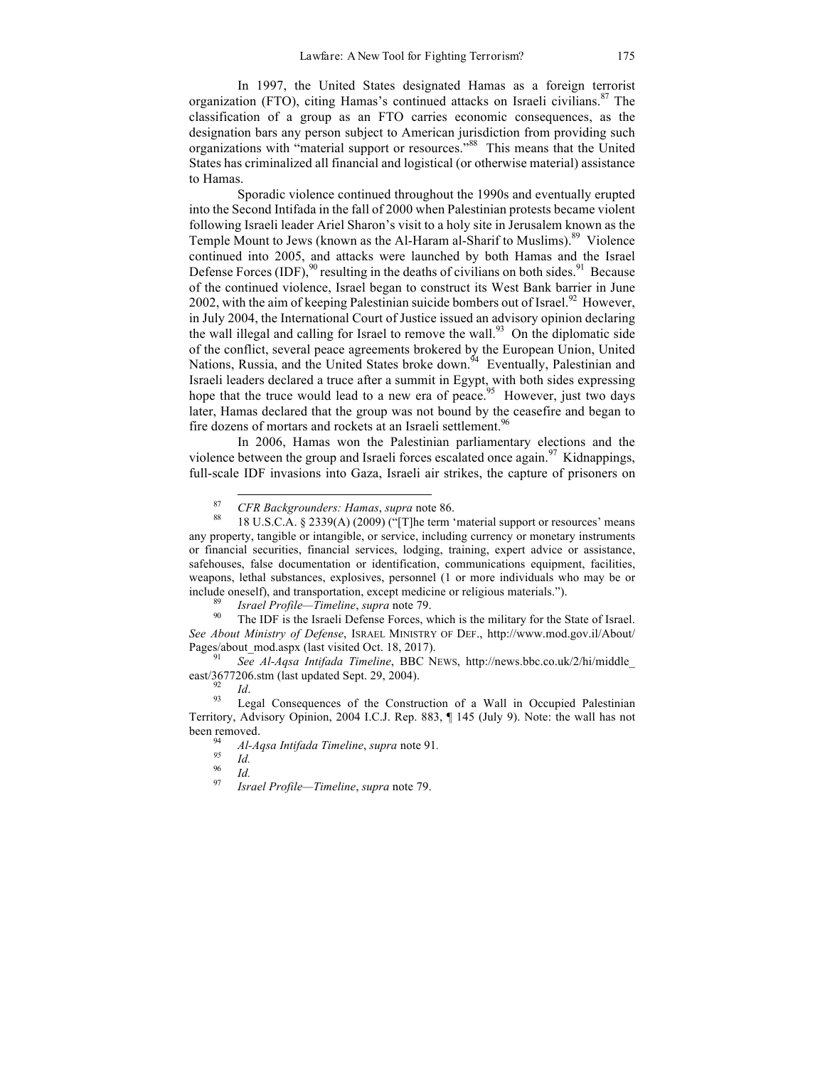In 1997, the United States designated Hamas as a foreign terrorist organization (FTO), citing Hamas's continued attacks on Israeli civilians. $87$  The classification of a group as an FTO carries economic consequences, as the designation bars any person subject to American jurisdiction from providing such organizations with "material support or resources."<sup>88</sup> This means that the United States has criminalized all financial and logistical (or otherwise material) assistance to Hamas.

Sporadic violence continued throughout the 1990s and eventually erupted into the Second Intifada in the fall of 2000 when Palestinian protests became violent following Israeli leader Ariel Sharon's visit to a holy site in Jerusalem known as the Temple Mount to Jews (known as the Al-Haram al-Sharif to Muslims). 89 Violence continued into 2005, and attacks were launched by both Hamas and the Israel Defense Forces (IDF),  $90$  resulting in the deaths of civilians on both sides. <sup>91</sup> Because of the continued violence, Israel began to construct its West Bank barrier in June 2002, with the aim of keeping Palestinian suicide bombers out of Israel.<sup>92</sup> However, in July 2004, the International Court of Justice issued an advisory opinion declaring the wall illegal and calling for Israel to remove the wall.<sup>93</sup> On the diplomatic side of the conflict, several peace agreements brokered by the European Union, United Nations, Russia, and the United States broke down.<sup>94</sup> Eventually, Palestinian and Israeli leaders declared a truce after a summit in Egypt, with both sides expressing hope that the truce would lead to a new era of peace.<sup>95</sup> However, just two days later, Hamas declared that the group was not bound by the ceasefire and began to fire dozens of mortars and rockets at an Israeli settlement.<sup>96</sup>

In 2006, Hamas won the Palestinian parliamentary elections and the violence between the group and Israeli forces escalated once again.<sup>97</sup> Kidnappings, full-scale IDF invasions into Gaza, Israeli air strikes, the capture of prisoners on

*See About Ministry of Defense*, ISRAEL MINISTRY OF DEF., http://www.mod.gov.il/About/ Pages/about\_mod.aspx (last visited Oct. 18, 2017). <sup>91</sup> *See Al-Aqsa Intifada Timeline*, BBC NEWS, http://news.bbc.co.uk/2/hi/middle\_

east/3677206.stm (last updated Sept. 29, 2004).

<sup>92</sup> *Id*. 93 Legal Consequences of the Construction of a Wall in Occupied Palestinian Territory, Advisory Opinion, 2004 I.C.J. Rep. 883, ¶ 145 (July 9). Note: the wall has not been removed. 94 *Al-Aqsa Intifada Timeline*, *supra* note 91*. <sup>95</sup> Id.* <sup>96</sup> *Id.* <sup>97</sup> *Israel Profile—Timeline*, *supra* note 79.

<sup>&</sup>lt;sup>87</sup> *CFR Backgrounders: Hamas, supra* note 86.<br><sup>88</sup> 18 U.S.C.A. § 2339(A) (2009) ("[T]he term 'material support or resources' means any property, tangible or intangible, or service, including currency or monetary instruments or financial securities, financial services, lodging, training, expert advice or assistance, safehouses, false documentation or identification, communications equipment, facilities, weapons, lethal substances, explosives, personnel (1 or more individuals who may be or include oneself), and transportation, except medicine or religious materials.").<br><sup>89</sup> *Israel Profile—Timeline, supra* note 79.<br><sup>90</sup> The IDF is the Israeli Defense Forces, which is the military for the State of Israel.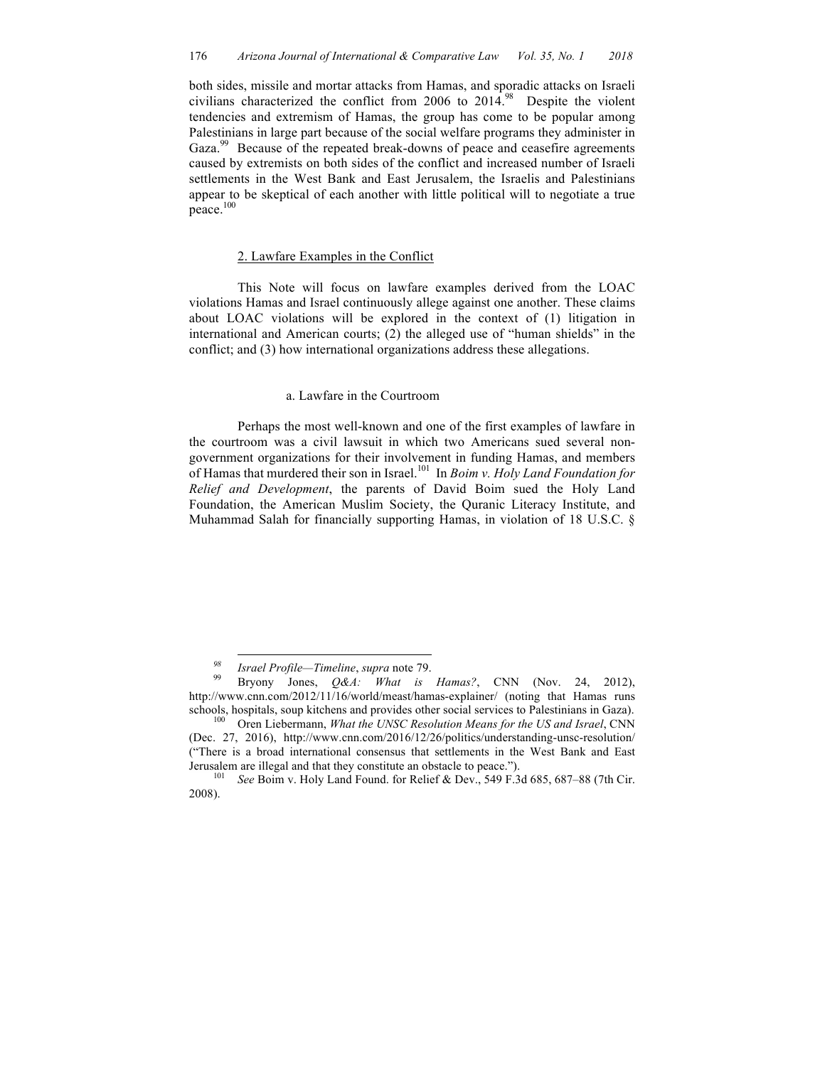both sides, missile and mortar attacks from Hamas, and sporadic attacks on Israeli civilians characterized the conflict from 2006 to  $2014.^{98}$  Despite the violent tendencies and extremism of Hamas, the group has come to be popular among Palestinians in large part because of the social welfare programs they administer in Gaza.<sup>99</sup> Because of the repeated break-downs of peace and ceasefire agreements caused by extremists on both sides of the conflict and increased number of Israeli settlements in the West Bank and East Jerusalem, the Israelis and Palestinians appear to be skeptical of each another with little political will to negotiate a true peace. 100

#### 2. Lawfare Examples in the Conflict

This Note will focus on lawfare examples derived from the LOAC violations Hamas and Israel continuously allege against one another. These claims about LOAC violations will be explored in the context of (1) litigation in international and American courts; (2) the alleged use of "human shields" in the conflict; and (3) how international organizations address these allegations.

#### a. Lawfare in the Courtroom

Perhaps the most well-known and one of the first examples of lawfare in the courtroom was a civil lawsuit in which two Americans sued several nongovernment organizations for their involvement in funding Hamas, and members of Hamas that murdered their son in Israel.101 In *Boim v. Holy Land Foundation for Relief and Development*, the parents of David Boim sued the Holy Land Foundation, the American Muslim Society, the Quranic Literacy Institute, and Muhammad Salah for financially supporting Hamas, in violation of 18 U.S.C. §

<sup>&</sup>lt;sup>98</sup> *Israel Profile—Timeline*, *supra* note 79.<br><sup>99</sup> Bryony Jones, *Q&A: What is Hamas?*, CNN (Nov. 24, 2012), http://www.cnn.com/2012/11/16/world/meast/hamas-explainer/ (noting that Hamas runs schools, hospitals, soup kitchens and provides other social services to Palestinians in Gaza). 100 Oren Liebermann, *What the UNSC Resolution Means for the US and Israel*, CNN

<sup>(</sup>Dec. 27, 2016), http://www.cnn.com/2016/12/26/politics/understanding-unsc-resolution/ ("There is a broad international consensus that settlements in the West Bank and East Jerusalem are illegal and that they constitute an obstacle to peace."). <sup>101</sup> *See* Boim v. Holy Land Found. for Relief & Dev., 549 F.3d 685, 687–88 (7th Cir.

<sup>2008).</sup>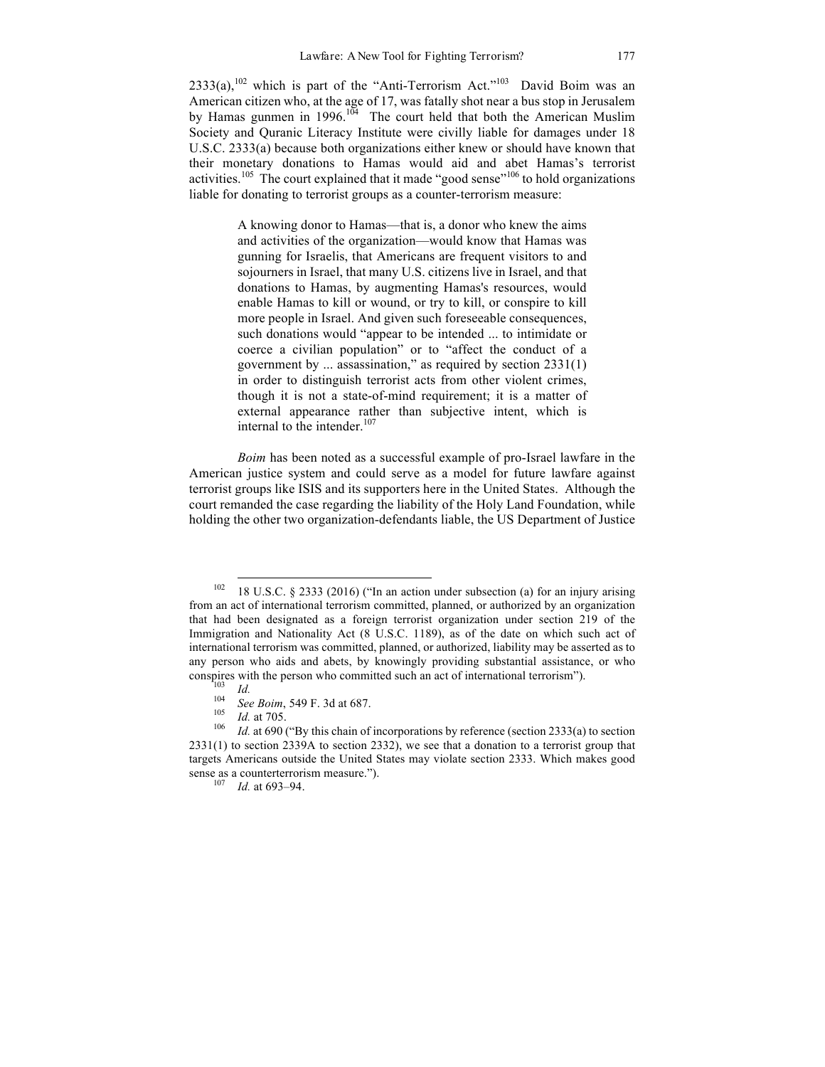$2333(a)$ ,  $^{102}$  which is part of the "Anti-Terrorism Act."<sup>103</sup> David Boim was an American citizen who, at the age of 17, was fatally shot near a bus stop in Jerusalem by Hamas gunmen in 1996.<sup>104</sup> The court held that both the American Muslim Society and Quranic Literacy Institute were civilly liable for damages under 18 U.S.C. 2333(a) because both organizations either knew or should have known that their monetary donations to Hamas would aid and abet Hamas's terrorist activities.<sup>105</sup> The court explained that it made "good sense"<sup>106</sup> to hold organizations liable for donating to terrorist groups as a counter-terrorism measure:

> A knowing donor to Hamas—that is, a donor who knew the aims and activities of the organization—would know that Hamas was gunning for Israelis, that Americans are frequent visitors to and sojourners in Israel, that many U.S. citizens live in Israel, and that donations to Hamas, by augmenting Hamas's resources, would enable Hamas to kill or wound, or try to kill, or conspire to kill more people in Israel. And given such foreseeable consequences, such donations would "appear to be intended ... to intimidate or coerce a civilian population" or to "affect the conduct of a government by ... assassination," as required by section 2331(1) in order to distinguish terrorist acts from other violent crimes, though it is not a state-of-mind requirement; it is a matter of external appearance rather than subjective intent, which is internal to the intender.<sup>107</sup>

*Boim* has been noted as a successful example of pro-Israel lawfare in the American justice system and could serve as a model for future lawfare against terrorist groups like ISIS and its supporters here in the United States. Although the court remanded the case regarding the liability of the Holy Land Foundation, while holding the other two organization-defendants liable, the US Department of Justice

 $102$  18 U.S.C. § 2333 (2016) ("In an action under subsection (a) for an injury arising from an act of international terrorism committed, planned, or authorized by an organization that had been designated as a foreign terrorist organization under section 219 of the Immigration and Nationality Act (8 U.S.C. 1189), as of the date on which such act of international terrorism was committed, planned, or authorized, liability may be asserted as to any person who aids and abets, by knowingly providing substantial assistance, or who conspires with the person who committed such an act of international terrorism").<br>
<sup>103</sup> *Id.*<br>
<sup>104</sup> *See Boim*, 549 F. 3d at 687.<br>
<sup>105</sup> *Id.* at 705.<br>
<sup>106</sup> *Id.* at 690 ("By this chain of incorporations by reference (

<sup>2331(1)</sup> to section 2339A to section 2332), we see that a donation to a terrorist group that targets Americans outside the United States may violate section 2333. Which makes good sense as a counterterrorism measure.").<br><sup>107</sup> *Id.* at 693–94.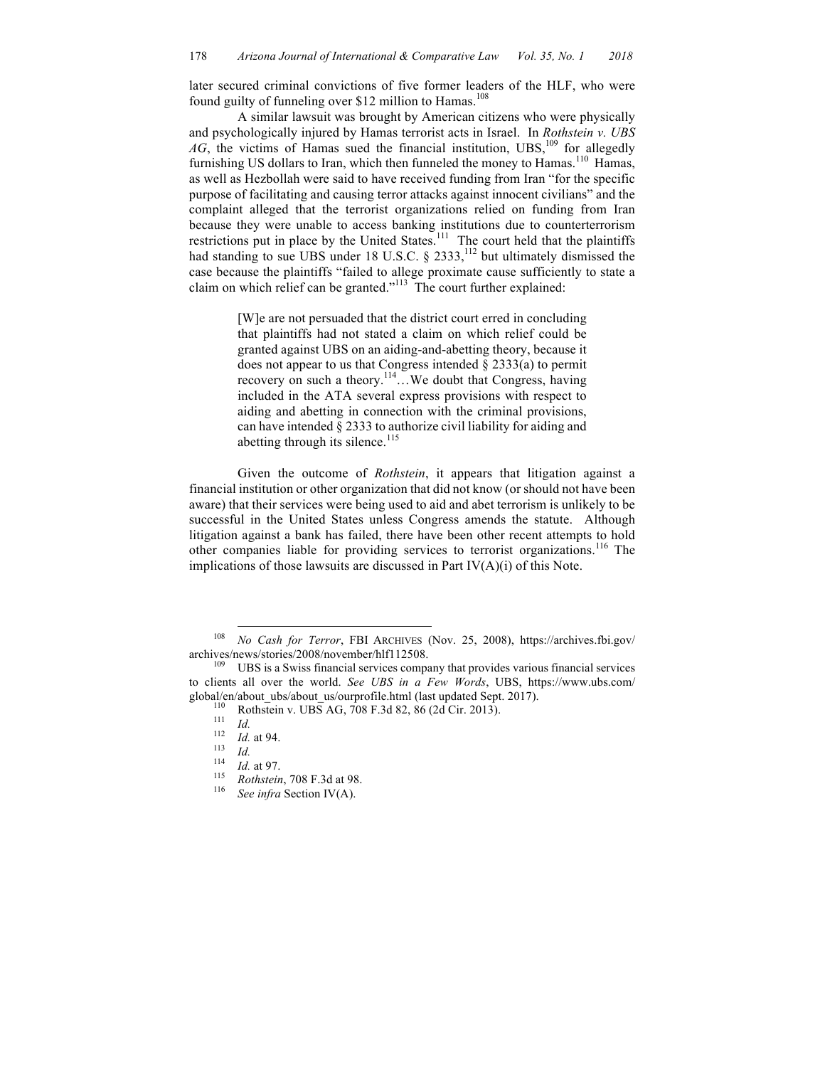later secured criminal convictions of five former leaders of the HLF, who were found guilty of funneling over \$12 million to Hamas.<sup>108</sup>

A similar lawsuit was brought by American citizens who were physically and psychologically injured by Hamas terrorist acts in Israel. In *Rothstein v. UBS*   $AG$ , the victims of Hamas sued the financial institution, UBS, <sup>109</sup> for allegedly furnishing US dollars to Iran, which then funneled the money to Hamas.<sup>110</sup> Hamas, as well as Hezbollah were said to have received funding from Iran "for the specific purpose of facilitating and causing terror attacks against innocent civilians" and the complaint alleged that the terrorist organizations relied on funding from Iran because they were unable to access banking institutions due to counterterrorism restrictions put in place by the United States. $\frac{111}{11}$  The court held that the plaintiffs had standing to sue UBS under 18 U.S.C. § 2333,<sup>112</sup> but ultimately dismissed the case because the plaintiffs "failed to allege proximate cause sufficiently to state a claim on which relief can be granted."<sup>113</sup> The court further explained:

> [W]e are not persuaded that the district court erred in concluding that plaintiffs had not stated a claim on which relief could be granted against UBS on an aiding-and-abetting theory, because it does not appear to us that Congress intended § 2333(a) to permit recovery on such a theory.<sup>114</sup>...We doubt that Congress, having included in the ATA several express provisions with respect to aiding and abetting in connection with the criminal provisions, can have intended § 2333 to authorize civil liability for aiding and abetting through its silence.<sup>115</sup>

Given the outcome of *Rothstein*, it appears that litigation against a financial institution or other organization that did not know (or should not have been aware) that their services were being used to aid and abet terrorism is unlikely to be successful in the United States unless Congress amends the statute. Although litigation against a bank has failed, there have been other recent attempts to hold other companies liable for providing services to terrorist organizations.<sup>116</sup> The implications of those lawsuits are discussed in Part IV(A)(i) of this Note.

 <sup>108</sup> *No Cash for Terror*, FBI ARCHIVES (Nov. 25, 2008), https://archives.fbi.gov/ archives/news/stories/2008/november/hlf112508.<br><sup>109</sup> UBS is a Swiss financial services company that provides various financial services

to clients all over the world. *See UBS in a Few Words*, UBS, https://www.ubs.com/ global/en/about\_ubs/about\_us/ourprofile.html (last updated Sept. 2017).<br>
<sup>110</sup> Rothstein v. UBS AG, 708 F.3d 82, 86 (2d Cir. 2013).<br>
<sup>111</sup> *Id.*<br>
<sup>112</sup> *Id.* at 94.<br>
<sup>113</sup> *Id.*<br>
<sup>114</sup> *Id.* at 97.<br> *Rothstein*, 708 F.3d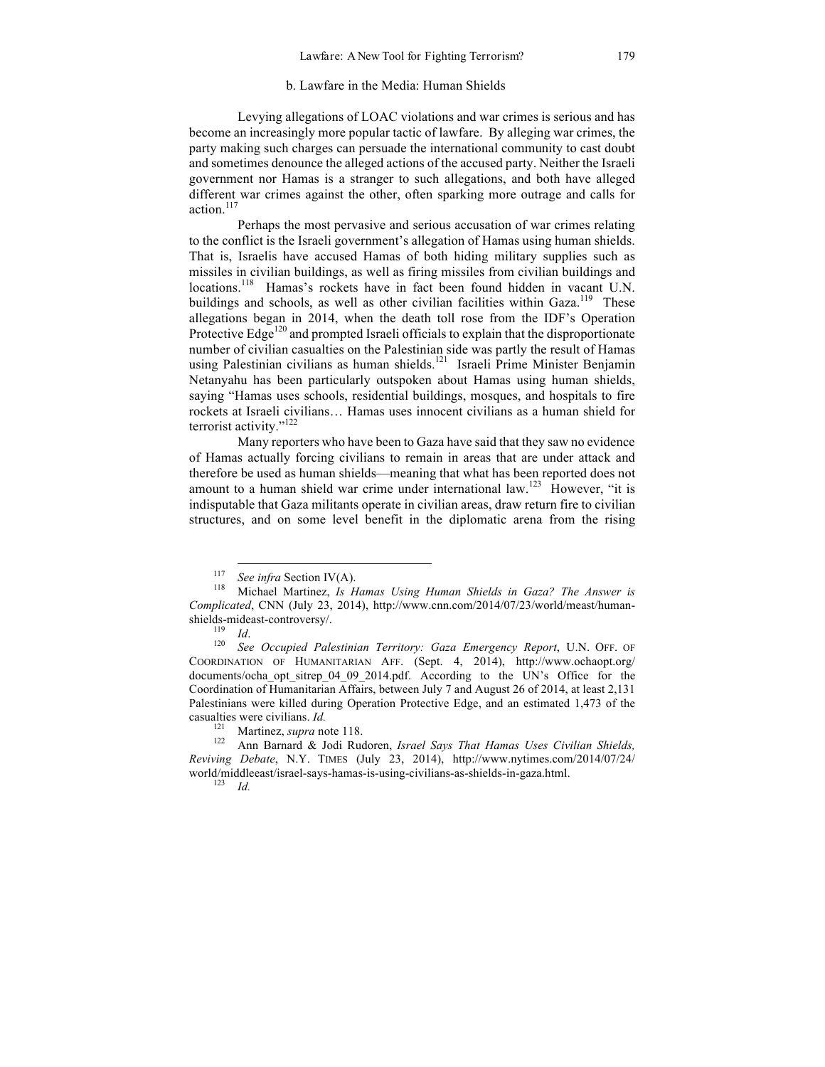# b. Lawfare in the Media: Human Shields

Levying allegations of LOAC violations and war crimes is serious and has become an increasingly more popular tactic of lawfare. By alleging war crimes, the party making such charges can persuade the international community to cast doubt and sometimes denounce the alleged actions of the accused party. Neither the Israeli government nor Hamas is a stranger to such allegations, and both have alleged different war crimes against the other, often sparking more outrage and calls for action.<sup>117</sup>

Perhaps the most pervasive and serious accusation of war crimes relating to the conflict is the Israeli government's allegation of Hamas using human shields. That is, Israelis have accused Hamas of both hiding military supplies such as missiles in civilian buildings, as well as firing missiles from civilian buildings and locations.<sup>118</sup> Hamas's rockets have in fact been found hidden in vacant U.N. buildings and schools, as well as other civilian facilities within Gaza.<sup>119</sup> These allegations began in 2014, when the death toll rose from the IDF's Operation Protective Edge<sup>120</sup> and prompted Israeli officials to explain that the disproportionate number of civilian casualties on the Palestinian side was partly the result of Hamas using Palestinian civilians as human shields.<sup>121</sup> Israeli Prime Minister Benjamin Netanyahu has been particularly outspoken about Hamas using human shields, saying "Hamas uses schools, residential buildings, mosques, and hospitals to fire rockets at Israeli civilians… Hamas uses innocent civilians as a human shield for terrorist activity."<sup>122</sup>

Many reporters who have been to Gaza have said that they saw no evidence of Hamas actually forcing civilians to remain in areas that are under attack and therefore be used as human shields—meaning that what has been reported does not amount to a human shield war crime under international law.<sup>123</sup> However, "it is indisputable that Gaza militants operate in civilian areas, draw return fire to civilian structures, and on some level benefit in the diplomatic arena from the rising

<sup>117</sup> *See infra* Section IV(A). <sup>118</sup> Michael Martinez, *Is Hamas Using Human Shields in Gaza? The Answer is Complicated*, CNN (July 23, 2014), http://www.cnn.com/2014/07/23/world/meast/humanshields-mideast-controversy/.<br><sup>119</sup> *Id.* 20 *See Occupied Palestinian Territory: Gaza Emergency Report*, U.N. OFF. OF

COORDINATION OF HUMANITARIAN AFF. (Sept. 4, 2014), http://www.ochaopt.org/ documents/ocha opt sitrep 04 09 2014.pdf. According to the UN's Office for the Coordination of Humanitarian Affairs, between July 7 and August 26 of 2014, at least 2,131 Palestinians were killed during Operation Protective Edge, and an estimated 1,473 of the

casualties were civilians. *Id.* <sup>121</sup> Martinez, *supra* note 118. 122 Ann Barnard & Jodi Rudoren, *Israel Says That Hamas Uses Civilian Shields, Reviving Debate*, N.Y. TIMES (July 23, 2014), http://www.nytimes.com/2014/07/24/ world/middleeast/israel-says-hamas-is-using-civilians-as-shields-in-gaza.html. <sup>123</sup> *Id.*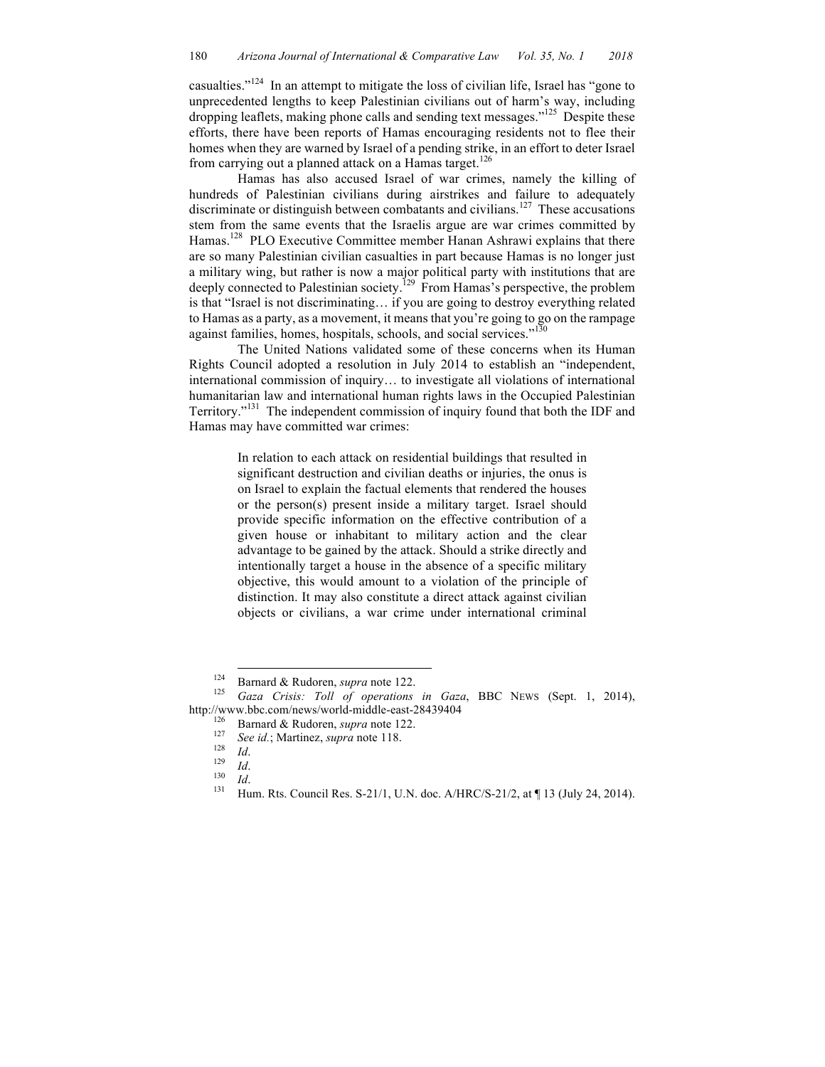casualties."<sup>124</sup> In an attempt to mitigate the loss of civilian life, Israel has "gone to unprecedented lengths to keep Palestinian civilians out of harm's way, including dropping leaflets, making phone calls and sending text messages."<sup>125</sup> Despite these efforts, there have been reports of Hamas encouraging residents not to flee their homes when they are warned by Israel of a pending strike, in an effort to deter Israel from carrying out a planned attack on a Hamas target.<sup>126</sup>

Hamas has also accused Israel of war crimes, namely the killing of hundreds of Palestinian civilians during airstrikes and failure to adequately discriminate or distinguish between combatants and civilians. 127 These accusations stem from the same events that the Israelis argue are war crimes committed by Hamas.<sup>128</sup> PLO Executive Committee member Hanan Ashrawi explains that there are so many Palestinian civilian casualties in part because Hamas is no longer just a military wing, but rather is now a major political party with institutions that are deeply connected to Palestinian society.<sup>129</sup> From Hamas's perspective, the problem is that "Israel is not discriminating… if you are going to destroy everything related to Hamas as a party, as a movement, it means that you're going to go on the rampage against families, homes, hospitals, schools, and social services."<sup>130</sup>

The United Nations validated some of these concerns when its Human Rights Council adopted a resolution in July 2014 to establish an "independent, international commission of inquiry… to investigate all violations of international humanitarian law and international human rights laws in the Occupied Palestinian Territory.<sup>"131</sup> The independent commission of inquiry found that both the IDF and Hamas may have committed war crimes:

> In relation to each attack on residential buildings that resulted in significant destruction and civilian deaths or injuries, the onus is on Israel to explain the factual elements that rendered the houses or the person(s) present inside a military target. Israel should provide specific information on the effective contribution of a given house or inhabitant to military action and the clear advantage to be gained by the attack. Should a strike directly and intentionally target a house in the absence of a specific military objective, this would amount to a violation of the principle of distinction. It may also constitute a direct attack against civilian objects or civilians, a war crime under international criminal

<sup>&</sup>lt;sup>124</sup> Barnard & Rudoren, *supra* note 122.<br><sup>125</sup> *Gaza Crisis: Toll of operations in Gaza*, BBC NEWS (Sept. 1, 2014), http://www.bbc.com/news/world-middle-east-28439404<br>
<sup>126</sup> Barnard & Rudoren, *supra* note 122.<br>
<sup>127</sup> See id.; Martinez, *supra* note 118.<br>
<sup>128</sup> Id.<br>
<sup>129</sup> Id.<br>
<sup>130</sup> Id.<br>
<sup>130</sup> Id.<br>
<sup>131</sup> Hum. Rts. Council Res. S-21/1,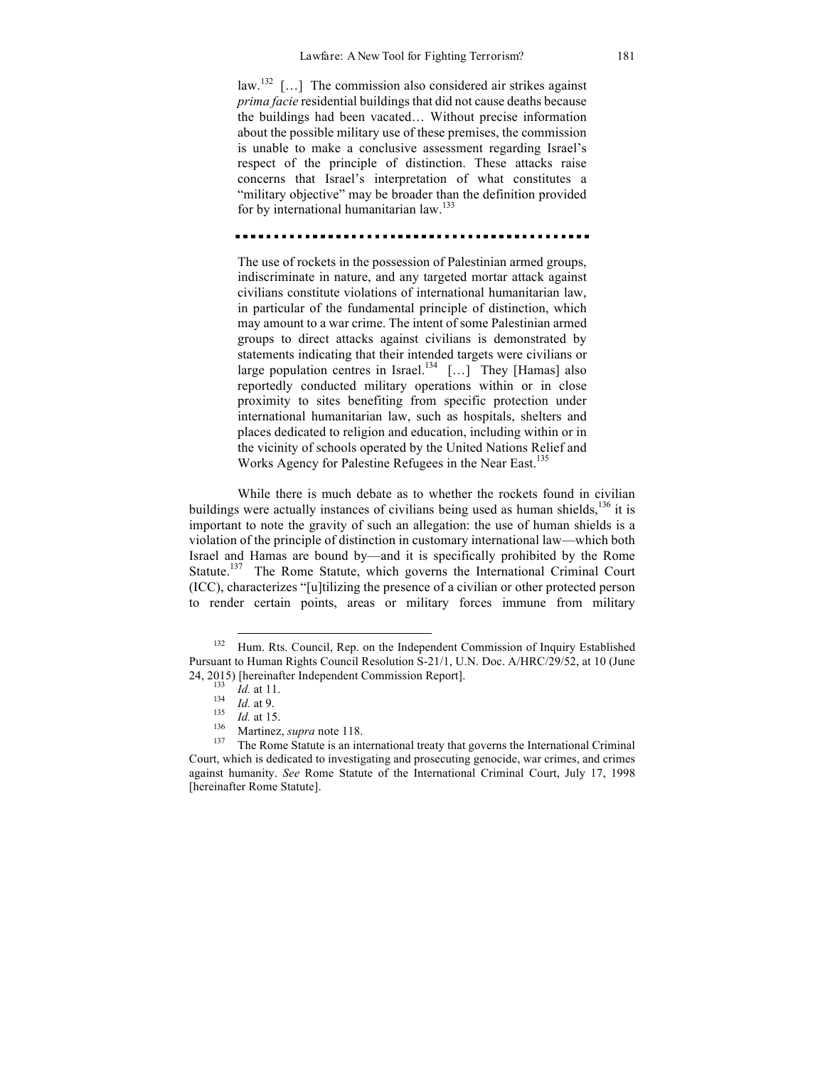law.<sup>132</sup> [...] The commission also considered air strikes against *prima facie* residential buildings that did not cause deaths because the buildings had been vacated… Without precise information about the possible military use of these premises, the commission is unable to make a conclusive assessment regarding Israel's respect of the principle of distinction. These attacks raise concerns that Israel's interpretation of what constitutes a "military objective" may be broader than the definition provided for by international humanitarian law.<sup>133</sup>

The use of rockets in the possession of Palestinian armed groups, indiscriminate in nature, and any targeted mortar attack against civilians constitute violations of international humanitarian law, in particular of the fundamental principle of distinction, which may amount to a war crime. The intent of some Palestinian armed groups to direct attacks against civilians is demonstrated by statements indicating that their intended targets were civilians or large population centres in Israel.<sup>134</sup>  $[...]$  They [Hamas] also reportedly conducted military operations within or in close proximity to sites benefiting from specific protection under international humanitarian law, such as hospitals, shelters and places dedicated to religion and education, including within or in the vicinity of schools operated by the United Nations Relief and Works Agency for Palestine Refugees in the Near East. 135

While there is much debate as to whether the rockets found in civilian buildings were actually instances of civilians being used as human shields,  $^{136}$  it is important to note the gravity of such an allegation: the use of human shields is a violation of the principle of distinction in customary international law—which both Israel and Hamas are bound by—and it is specifically prohibited by the Rome Statute.<sup>137</sup> The Rome Statute, which governs the International Criminal Court (ICC), characterizes "[u]tilizing the presence of a civilian or other protected person to render certain points, areas or military forces immune from military

<sup>&</sup>lt;sup>132</sup> Hum. Rts. Council. Rep. on the Independent Commission of Inquiry Established Pursuant to Human Rights Council Resolution S-21/1, U.N. Doc. A/HRC/29/52, at 10 (June 24, 2015) [hereinafter Independent Commission Report].<br>
<sup>133</sup> *Id.* at 11.<br>
<sup>134</sup> *Id.* at 9.<br>
<sup>135</sup> *Id.* at 15.<br>
<sup>136</sup> Martinez, *supra* note 118.<br>
<sup>137</sup> The Rome Statute is an international treaty that governs the Inte

Court, which is dedicated to investigating and prosecuting genocide, war crimes, and crimes against humanity. *See* Rome Statute of the International Criminal Court, July 17, 1998 [hereinafter Rome Statute].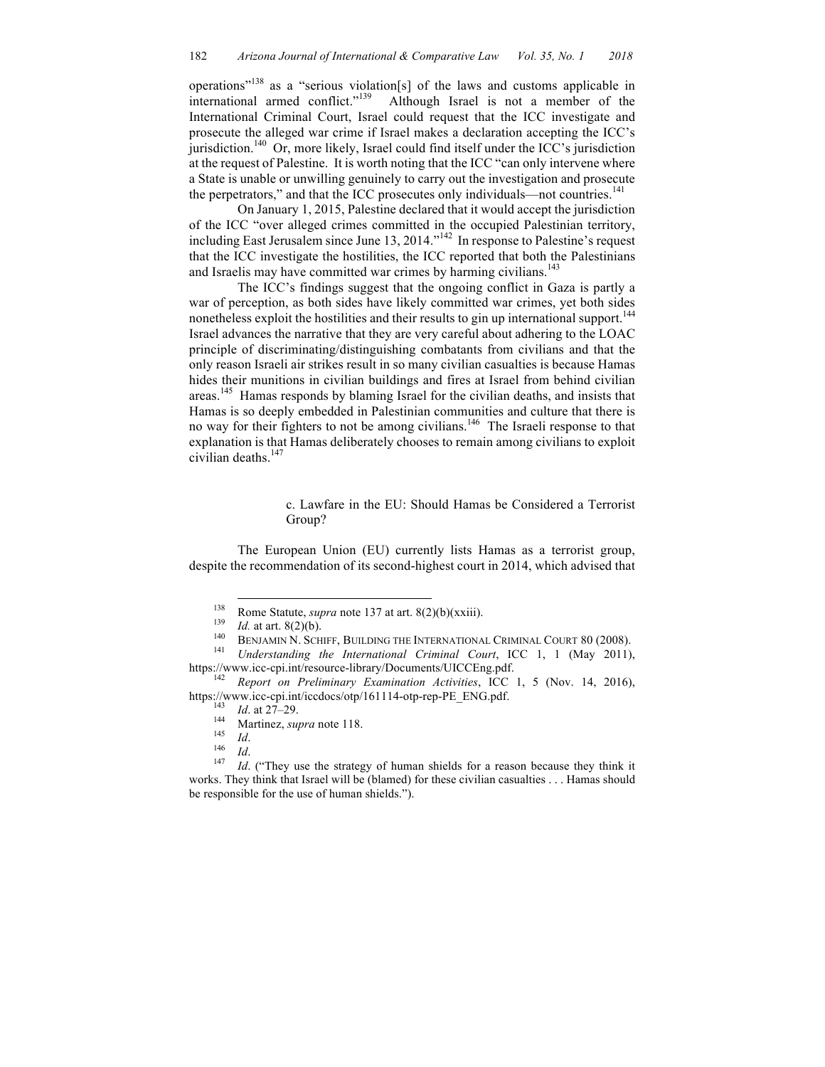operations"<sup>138</sup> as a "serious violation[s] of the laws and customs applicable in international armed conflict."139 Although Israel is not a member of the International Criminal Court, Israel could request that the ICC investigate and prosecute the alleged war crime if Israel makes a declaration accepting the ICC's jurisdiction.140 Or, more likely, Israel could find itself under the ICC's jurisdiction at the request of Palestine. It is worth noting that the ICC "can only intervene where a State is unable or unwilling genuinely to carry out the investigation and prosecute the perpetrators," and that the ICC prosecutes only individuals—not countries.<sup>141</sup>

On January 1, 2015, Palestine declared that it would accept the jurisdiction of the ICC "over alleged crimes committed in the occupied Palestinian territory, including East Jerusalem since June 13, 2014."<sup>142</sup> In response to Palestine's request that the ICC investigate the hostilities, the ICC reported that both the Palestinians and Israelis may have committed war crimes by harming civilians.<sup>143</sup>

The ICC's findings suggest that the ongoing conflict in Gaza is partly a war of perception, as both sides have likely committed war crimes, yet both sides nonetheless exploit the hostilities and their results to gin up international support.<sup>144</sup> Israel advances the narrative that they are very careful about adhering to the LOAC principle of discriminating/distinguishing combatants from civilians and that the only reason Israeli air strikes result in so many civilian casualties is because Hamas hides their munitions in civilian buildings and fires at Israel from behind civilian areas.<sup>145</sup> Hamas responds by blaming Israel for the civilian deaths, and insists that Hamas is so deeply embedded in Palestinian communities and culture that there is no way for their fighters to not be among civilians.<sup>146</sup> The Israeli response to that explanation is that Hamas deliberately chooses to remain among civilians to exploit civilian deaths.<sup>147</sup>

> c. Lawfare in the EU: Should Hamas be Considered a Terrorist Group?

The European Union (EU) currently lists Hamas as a terrorist group, despite the recommendation of its second-highest court in 2014, which advised that

<sup>&</sup>lt;sup>138</sup> Rome Statute, *supra* note 137 at art. 8(2)(b)(xxiii).<br> *Id.* at art. 8(2)(b).<br> *Id.* BENJAMIN N. SCHIFF, BUILDING THE INTERNATIONAL CRIMINAL COURT 80 (2008).<br>
<sup>141</sup> Understanding the International Criminal Court, I

https://www.icc-cpi.int/resource-library/Documents/UICCEng.pdf. <sup>142</sup> *Report on Preliminary Examination Activities*, ICC 1, 5 (Nov. 14, 2016), https://www.icc-cpi.int/iccdocs/otp/161114-otp-rep-PE\_ENG.pdf.<br>
<sup>143</sup> *Id.* at 27-29.<br>
Martinez, *supra* note 118.<br>
<sup>146</sup> *Id.*<br>
<sup>146</sup> *Id.*<br>
<sup>147</sup> *Id.* ("They use the strategy of human shields for a reason because they

works. They think that Israel will be (blamed) for these civilian casualties . . . Hamas should be responsible for the use of human shields.").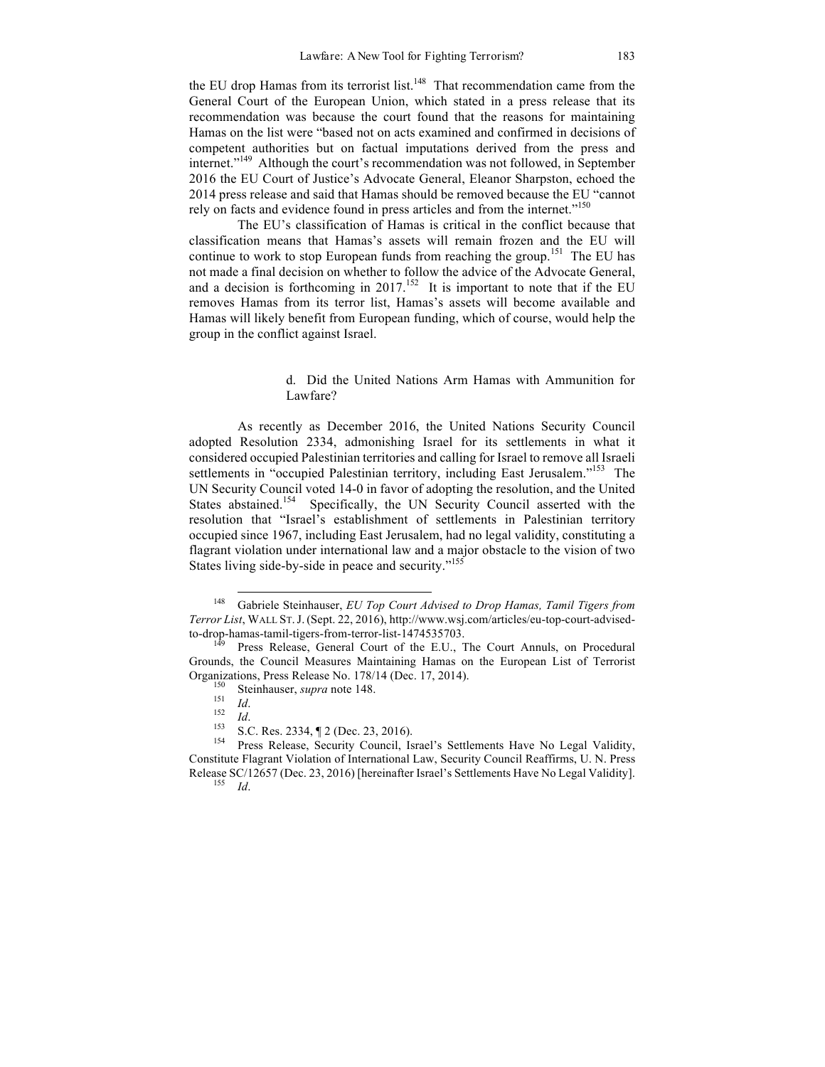the EU drop Hamas from its terrorist list.<sup>148</sup> That recommendation came from the General Court of the European Union, which stated in a press release that its recommendation was because the court found that the reasons for maintaining Hamas on the list were "based not on acts examined and confirmed in decisions of competent authorities but on factual imputations derived from the press and internet."<sup>149</sup> Although the court's recommendation was not followed, in September 2016 the EU Court of Justice's Advocate General, Eleanor Sharpston, echoed the 2014 press release and said that Hamas should be removed because the EU "cannot rely on facts and evidence found in press articles and from the internet."<sup>150</sup>

The EU's classification of Hamas is critical in the conflict because that classification means that Hamas's assets will remain frozen and the EU will continue to work to stop European funds from reaching the group.<sup>151</sup> The EU has not made a final decision on whether to follow the advice of the Advocate General, and a decision is forthcoming in  $2017^{152}$  It is important to note that if the EU removes Hamas from its terror list, Hamas's assets will become available and Hamas will likely benefit from European funding, which of course, would help the group in the conflict against Israel.

# d. Did the United Nations Arm Hamas with Ammunition for Lawfare?

As recently as December 2016, the United Nations Security Council adopted Resolution 2334, admonishing Israel for its settlements in what it considered occupied Palestinian territories and calling for Israel to remove all Israeli settlements in "occupied Palestinian territory, including East Jerusalem."<sup>153</sup> The UN Security Council voted 14-0 in favor of adopting the resolution, and the United States abstained.<sup>154</sup> Specifically, the UN Security Council asserted with the resolution that "Israel's establishment of settlements in Palestinian territory occupied since 1967, including East Jerusalem, had no legal validity, constituting a flagrant violation under international law and a major obstacle to the vision of two States living side-by-side in peace and security."<sup>155</sup>

 <sup>148</sup> Gabriele Steinhauser, *EU Top Court Advised to Drop Hamas, Tamil Tigers from Terror List*, WALL ST.J. (Sept. 22, 2016), http://www.wsj.com/articles/eu-top-court-advised-

Press Release, General Court of the E.U., The Court Annuls, on Procedural Grounds, the Council Measures Maintaining Hamas on the European List of Terrorist

Organizations, Press Release No. 178/14 (Dec. 17, 2014).<br>
<sup>150</sup> Steinhauser, *supra* note 148.<br>
<sup>151</sup> *Id.*<br>
<sup>152</sup> *Id.*<br>
<sup>152</sup> *Id.*<br>
<sup>153</sup> S.C. Res. 2334,  $\P$  2 (Dec. 23, 2016).<br>
<sup>154</sup> Press Release, Security Council, I Constitute Flagrant Violation of International Law, Security Council Reaffirms, U. N. Press Release SC/12657 (Dec. 23, 2016) [hereinafter Israel's Settlements Have No Legal Validity]. <sup>155</sup> *Id*.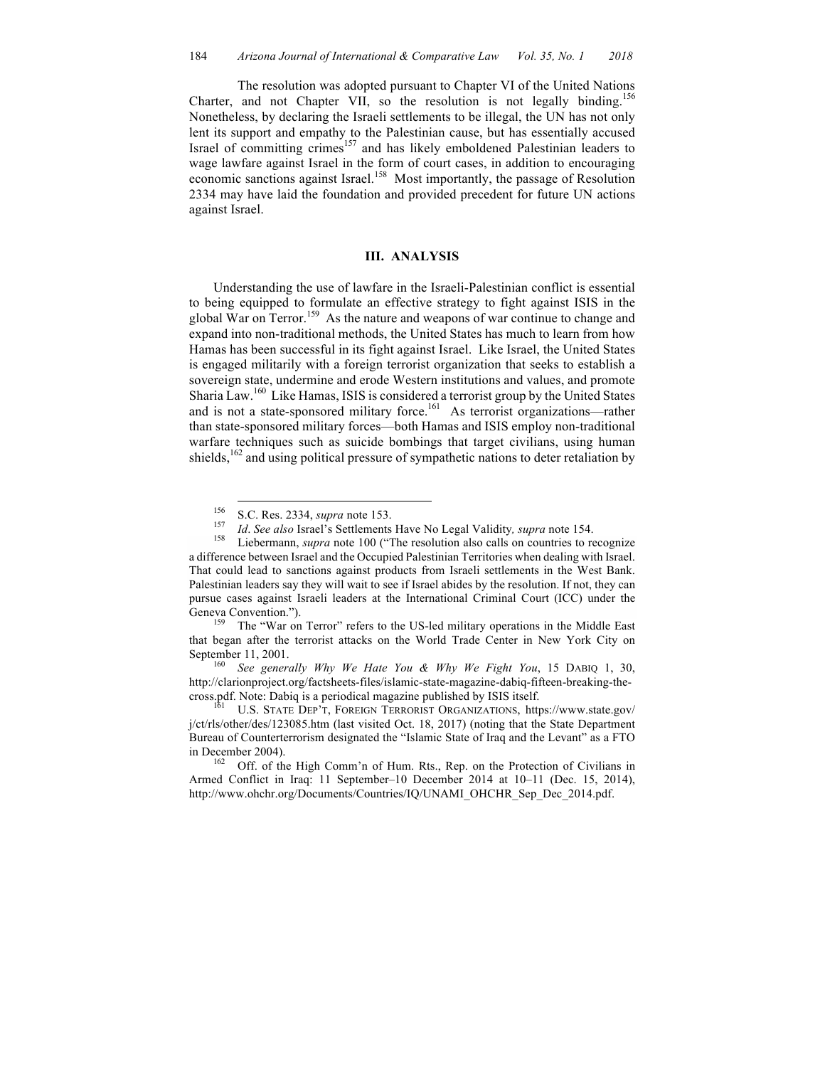The resolution was adopted pursuant to Chapter VI of the United Nations Charter, and not Chapter VII, so the resolution is not legally binding.<sup>156</sup> Nonetheless, by declaring the Israeli settlements to be illegal, the UN has not only lent its support and empathy to the Palestinian cause, but has essentially accused Israel of committing crimes<sup>157</sup> and has likely emboldened Palestinian leaders to wage lawfare against Israel in the form of court cases, in addition to encouraging economic sanctions against Israel.<sup>158</sup> Most importantly, the passage of Resolution 2334 may have laid the foundation and provided precedent for future UN actions against Israel.

#### **III. ANALYSIS**

Understanding the use of lawfare in the Israeli-Palestinian conflict is essential to being equipped to formulate an effective strategy to fight against ISIS in the global War on Terror.<sup>159</sup> As the nature and weapons of war continue to change and expand into non-traditional methods, the United States has much to learn from how Hamas has been successful in its fight against Israel. Like Israel, the United States is engaged militarily with a foreign terrorist organization that seeks to establish a sovereign state, undermine and erode Western institutions and values, and promote Sharia Law.<sup>160</sup> Like Hamas, ISIS is considered a terrorist group by the United States and is not a state-sponsored military force.<sup>161</sup> As terrorist organizations—rather than state-sponsored military forces—both Hamas and ISIS employ non-traditional warfare techniques such as suicide bombings that target civilians, using human shields,<sup>162</sup> and using political pressure of sympathetic nations to deter retaliation by

<sup>&</sup>lt;sup>156</sup> S.C. Res. 2334, *supra* note 153.<br><sup>157</sup> *Id. See also* Israel's Settlements Have No Legal Validity, *supra* note 154.<br><sup>158</sup> Liebermann, *supra* note 100 ("The resolution also calls on countries to recognize a difference between Israel and the Occupied Palestinian Territories when dealing with Israel. That could lead to sanctions against products from Israeli settlements in the West Bank. Palestinian leaders say they will wait to see if Israel abides by the resolution. If not, they can pursue cases against Israeli leaders at the International Criminal Court (ICC) under the Geneva Convention.").<br><sup>159</sup> The "War on Terror" refers to the US-led military operations in the Middle East

that began after the terrorist attacks on the World Trade Center in New York City on September 11, 2001.<br><sup>160</sup> *See generally Why We Hate You & Why We Fight You*, 15 DABIQ 1, 30,

http://clarionproject.org/factsheets-files/islamic-state-magazine-dabiq-fifteen-breaking-thecross.pdf. Note: Dabiq is a periodical magazine published by ISIS itself.<br><sup>161</sup> U.S. STATE DEP'T, FOREIGN TERRORIST ORGANIZATIONS, https://www.state.gov/

j/ct/rls/other/des/123085.htm (last visited Oct. 18, 2017) (noting that the State Department Bureau of Counterterrorism designated the "Islamic State of Iraq and the Levant" as a FTO in December 2004).<br><sup>162</sup> Off. of the High Comm'n of Hum. Rts., Rep. on the Protection of Civilians in

Armed Conflict in Iraq: 11 September–10 December 2014 at 10–11 (Dec. 15, 2014), http://www.ohchr.org/Documents/Countries/IQ/UNAMI\_OHCHR\_Sep\_Dec\_2014.pdf.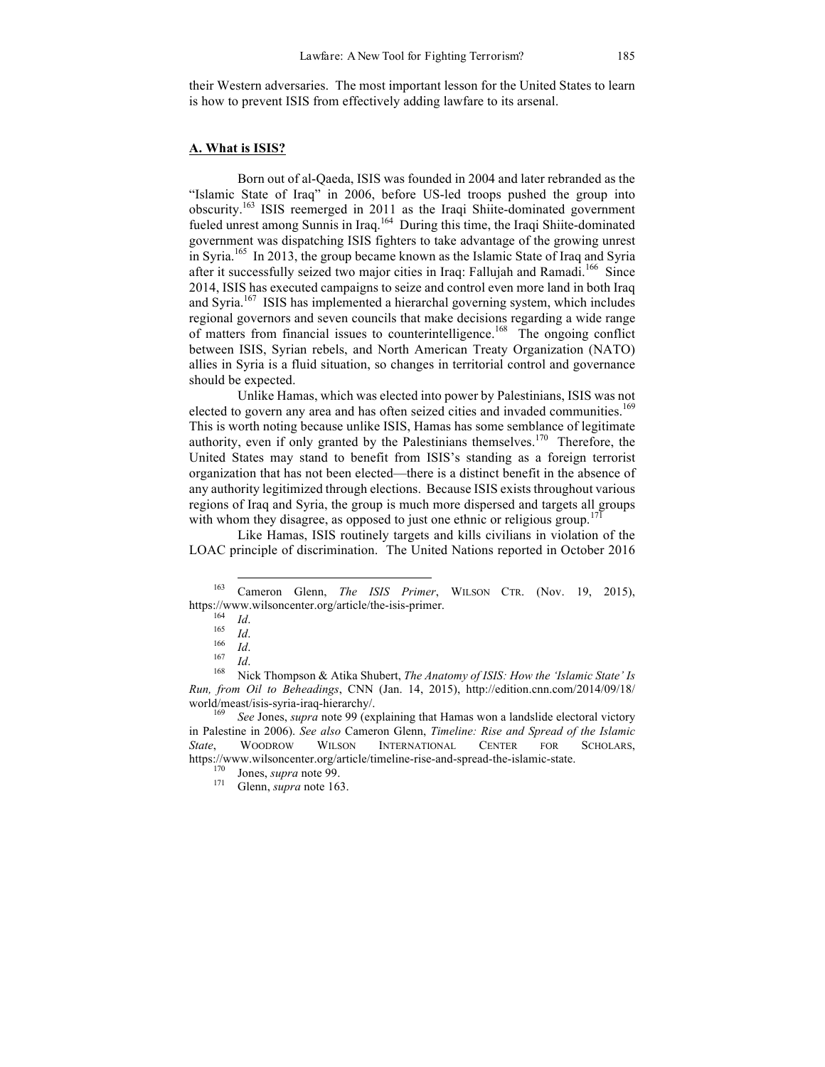their Western adversaries. The most important lesson for the United States to learn is how to prevent ISIS from effectively adding lawfare to its arsenal.

# **A. What is ISIS?**

Born out of al-Qaeda, ISIS was founded in 2004 and later rebranded as the "Islamic State of Iraq" in 2006, before US-led troops pushed the group into obscurity.163 ISIS reemerged in 2011 as the Iraqi Shiite-dominated government fueled unrest among Sunnis in Iraq.<sup>164</sup> During this time, the Iraqi Shiite-dominated government was dispatching ISIS fighters to take advantage of the growing unrest in Syria.<sup>165</sup> In 2013, the group became known as the Islamic State of Iraq and Syria after it successfully seized two major cities in Iraq: Fallujah and Ramadi.<sup>166</sup> Since 2014, ISIS has executed campaigns to seize and control even more land in both Iraq and Svria.<sup>167</sup> ISIS has implemented a hierarchal governing system, which includes regional governors and seven councils that make decisions regarding a wide range of matters from financial issues to counterintelligence.<sup>168</sup> The ongoing conflict between ISIS, Syrian rebels, and North American Treaty Organization (NATO) allies in Syria is a fluid situation, so changes in territorial control and governance should be expected.

Unlike Hamas, which was elected into power by Palestinians, ISIS was not elected to govern any area and has often seized cities and invaded communities.<sup>169</sup> This is worth noting because unlike ISIS, Hamas has some semblance of legitimate authority, even if only granted by the Palestinians themselves.<sup>170</sup> Therefore, the United States may stand to benefit from ISIS's standing as a foreign terrorist organization that has not been elected—there is a distinct benefit in the absence of any authority legitimized through elections. Because ISIS exists throughout various regions of Iraq and Syria, the group is much more dispersed and targets all groups with whom they disagree, as opposed to just one ethnic or religious group.<sup>171</sup>

Like Hamas, ISIS routinely targets and kills civilians in violation of the LOAC principle of discrimination. The United Nations reported in October 2016

 <sup>163</sup> Cameron Glenn, *The ISIS Primer*, WILSON CTR. (Nov. 19, 2015), https://www.wilsoncenter.org/article/the-isis-primer.<br>
164 *Id.*<br>
166 *Id.*<br>
167 *Id.*<br>
<sup>168</sup> Nick Thompson & Atika Shubert, *The Anatomy of ISIS: How the 'Islamic State' Is* 

*Run, from Oil to Beheadings*, CNN (Jan. 14, 2015), http://edition.cnn.com/2014/09/18/ world/meast/isis-syria-iraq-hierarchy/. <sup>169</sup> *See* Jones, *supra* note 99 (explaining that Hamas won a landslide electoral victory

in Palestine in 2006). *See also* Cameron Glenn, *Timeline: Rise and Spread of the Islamic State*, WOODROW WILSON INTERNATIONAL CENTER FOR SCHOLARS, https://www.wilsoncenter.org/article/timeline-rise-and-spread-the-islamic-state. 170 Jones, *supra* note 99. 171 Glenn, *supra* note 163.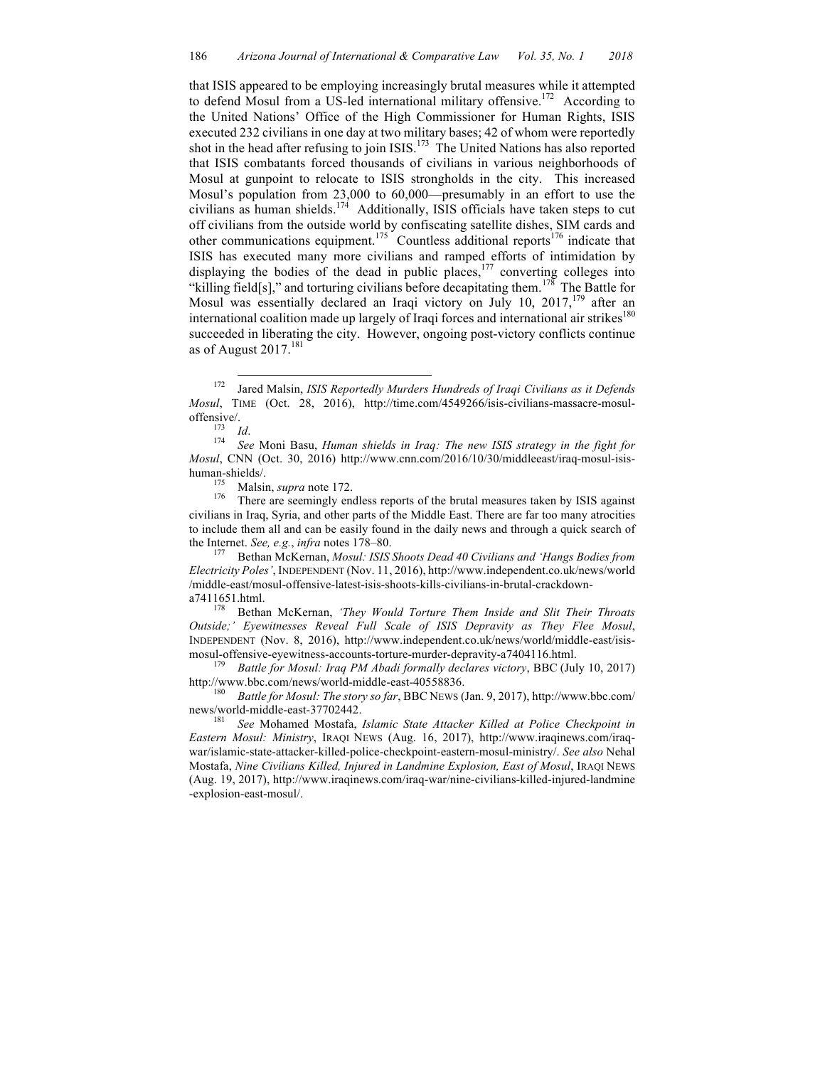that ISIS appeared to be employing increasingly brutal measures while it attempted to defend Mosul from a US-led international military offensive.<sup>172</sup> According to the United Nations' Office of the High Commissioner for Human Rights, ISIS executed 232 civilians in one day at two military bases; 42 of whom were reportedly shot in the head after refusing to join ISIS.<sup>173</sup> The United Nations has also reported that ISIS combatants forced thousands of civilians in various neighborhoods of Mosul at gunpoint to relocate to ISIS strongholds in the city. This increased Mosul's population from 23,000 to 60,000—presumably in an effort to use the civilians as human shields.<sup>174</sup> Additionally, ISIS officials have taken steps to cut off civilians from the outside world by confiscating satellite dishes, SIM cards and other communications equipment.<sup>175</sup> Countless additional reports<sup>176</sup> indicate that ISIS has executed many more civilians and ramped efforts of intimidation by displaying the bodies of the dead in public places, $177$  converting colleges into "killing field[s]," and torturing civilians before decapitating them.<sup>178</sup> The Battle for Mosul was essentially declared an Iraqi victory on July 10, 2017,<sup>179</sup> after an international coalition made up largely of Iraqi forces and international air strikes<sup>180</sup> succeeded in liberating the city. However, ongoing post-victory conflicts continue as of August  $2017$ .<sup>181</sup>

civilians in Iraq, Syria, and other parts of the Middle East. There are far too many atrocities to include them all and can be easily found in the daily news and through a quick search of

the Internet. *See, e.g., infra* notes 178–80.<br><sup>177</sup> Bethan McKernan, *Mosul: ISIS Shoots Dead 40 Civilians and 'Hangs Bodies from Electricity Poles'*, INDEPENDENT (Nov. 11, 2016), http://www.independent.co.uk/news/world /middle-east/mosul-offensive-latest-isis-shoots-kills-civilians-in-brutal-crackdown-

a7411651.html. 178 Bethan McKernan, *'They Would Torture Them Inside and Slit Their Throats Outside;' Eyewitnesses Reveal Full Scale of ISIS Depravity as They Flee Mosul*, INDEPENDENT (Nov. 8, 2016), http://www.independent.co.uk/news/world/middle-east/isismosul-offensive-eyewitness-accounts-torture-murder-depravity-a7404116.html. <sup>179</sup> *Battle for Mosul: Iraq PM Abadi formally declares victory*, BBC (July 10, 2017)

http://www.bbc.com/news/world-middle-east-40558836.<br><sup>180</sup> *Battle for Mosul: The story so far*, BBC NEWS (Jan. 9, 2017), http://www.bbc.com/

news/world-middle-east-37702442.<br><sup>181</sup> *See* Mohamed Mostafa, *Islamic State Attacker Killed at Police Checkpoint in* 

*Eastern Mosul: Ministry*, IRAQI NEWS (Aug. 16, 2017), http://www.iraqinews.com/iraqwar/islamic-state-attacker-killed-police-checkpoint-eastern-mosul-ministry/. *See also* Nehal Mostafa, *Nine Civilians Killed, Injured in Landmine Explosion, East of Mosul*, IRAQI NEWS (Aug. 19, 2017), http://www.iraqinews.com/iraq-war/nine-civilians-killed-injured-landmine -explosion-east-mosul/.

 <sup>172</sup> Jared Malsin, *ISIS Reportedly Murders Hundreds of Iraqi Civilians as it Defends Mosul*, TIME (Oct. 28, 2016), http://time.com/4549266/isis-civilians-massacre-mosuloffensive/.<br><sup>173</sup> *Id.* 174 *See* Moni Basu, *Human shields in Iraq: The new ISIS strategy in the fight for* 

*Mosul*, CNN (Oct. 30, 2016) http://www.cnn.com/2016/10/30/middleeast/iraq-mosul-isishuman-shields/.<br><sup>175</sup> Malsin, *supra* note 172.<br><sup>176</sup> There are seemingly endless reports of the brutal measures taken by ISIS against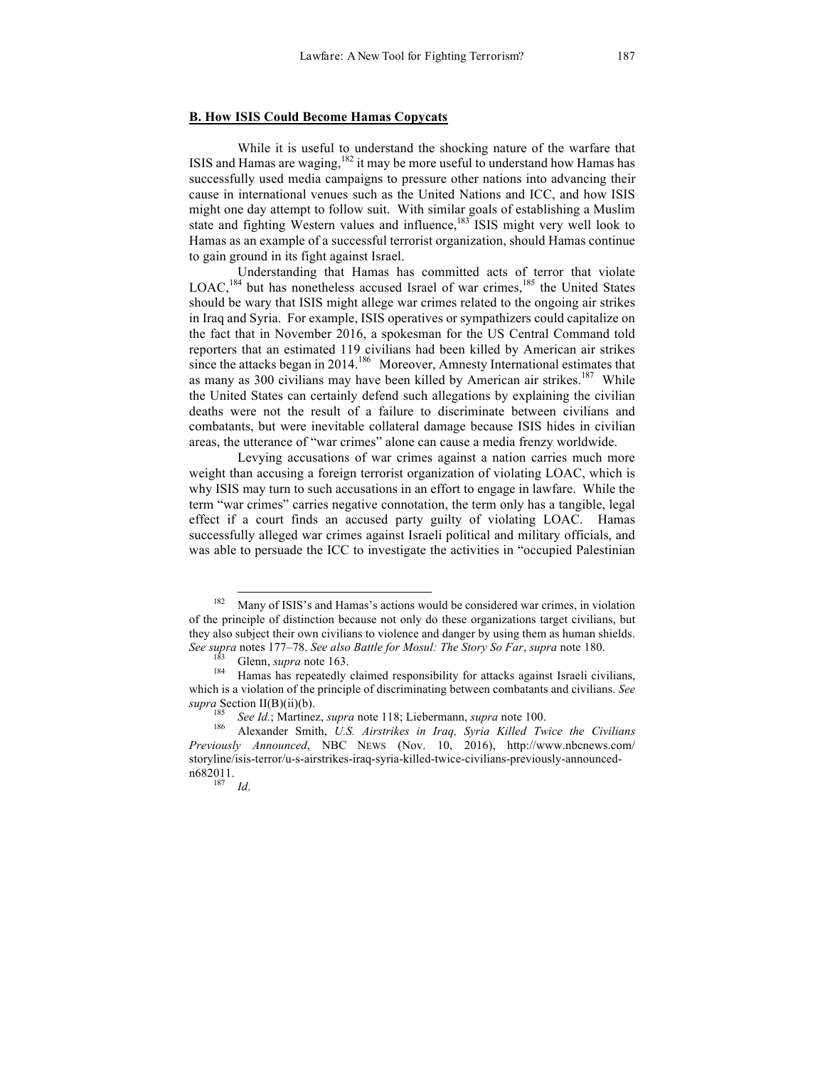#### **B. How ISIS Could Become Hamas Copycats**

While it is useful to understand the shocking nature of the warfare that ISIS and Hamas are waging, $182$  it may be more useful to understand how Hamas has successfully used media campaigns to pressure other nations into advancing their cause in international venues such as the United Nations and ICC, and how ISIS might one day attempt to follow suit. With similar goals of establishing a Muslim state and fighting Western values and influence, $183$  ISIS might very well look to Hamas as an example of a successful terrorist organization, should Hamas continue to gain ground in its fight against Israel.

Understanding that Hamas has committed acts of terror that violate  $LOAC$ ,<sup>184</sup> but has nonetheless accused Israel of war crimes,<sup>185</sup> the United States should be wary that ISIS might allege war crimes related to the ongoing air strikes in Iraq and Syria. For example, ISIS operatives or sympathizers could capitalize on the fact that in November 2016, a spokesman for the US Central Command told reporters that an estimated 119 civilians had been killed by American air strikes since the attacks began in  $2014$ .<sup>186</sup> Moreover, Amnesty International estimates that as many as 300 civilians may have been killed by American air strikes.<sup>187</sup> While the United States can certainly defend such allegations by explaining the civilian deaths were not the result of a failure to discriminate between civilians and combatants, but were inevitable collateral damage because ISIS hides in civilian areas, the utterance of "war crimes" alone can cause a media frenzy worldwide.

Levying accusations of war crimes against a nation carries much more weight than accusing a foreign terrorist organization of violating LOAC, which is why ISIS may turn to such accusations in an effort to engage in lawfare. While the term "war crimes" carries negative connotation, the term only has a tangible, legal effect if a court finds an accused party guilty of violating LOAC. Hamas successfully alleged war crimes against Israeli political and military officials, and was able to persuade the ICC to investigate the activities in "occupied Palestinian

<sup>&</sup>lt;sup>182</sup> Many of ISIS's and Hamas's actions would be considered war crimes, in violation of the principle of distinction because not only do these organizations target civilians, but they also subject their own civilians to violence and danger by using them as human shields. See supra notes 177–78. See also Battle for Mosul: The Story So Far, supra note 180.<br><sup>183</sup> Glenn, *supra* note 163.<br><sup>184</sup> Hamas has repeatedly claimed responsibility for attacks against Israeli civilians,

which is a violation of the principle of discriminating between combatants and civilians. *See* 

*supra* Section II(B)(ii)(b).<br><sup>185</sup> *See Id.*; Martinez, *supra* note 118; Liebermann, *supra* note 100.<br><sup>186</sup> Alexander Smith, *U.S. Airstrikes in Iraq, Syria Killed Twice the Civilians Previously Announced*, NBC NEWS (Nov. 10, 2016), http://www.nbcnews.com/ storyline/isis-terror/u-s-airstrikes-iraq-syria-killed-twice-civilians-previously-announcedn682011. <sup>187</sup> *Id*.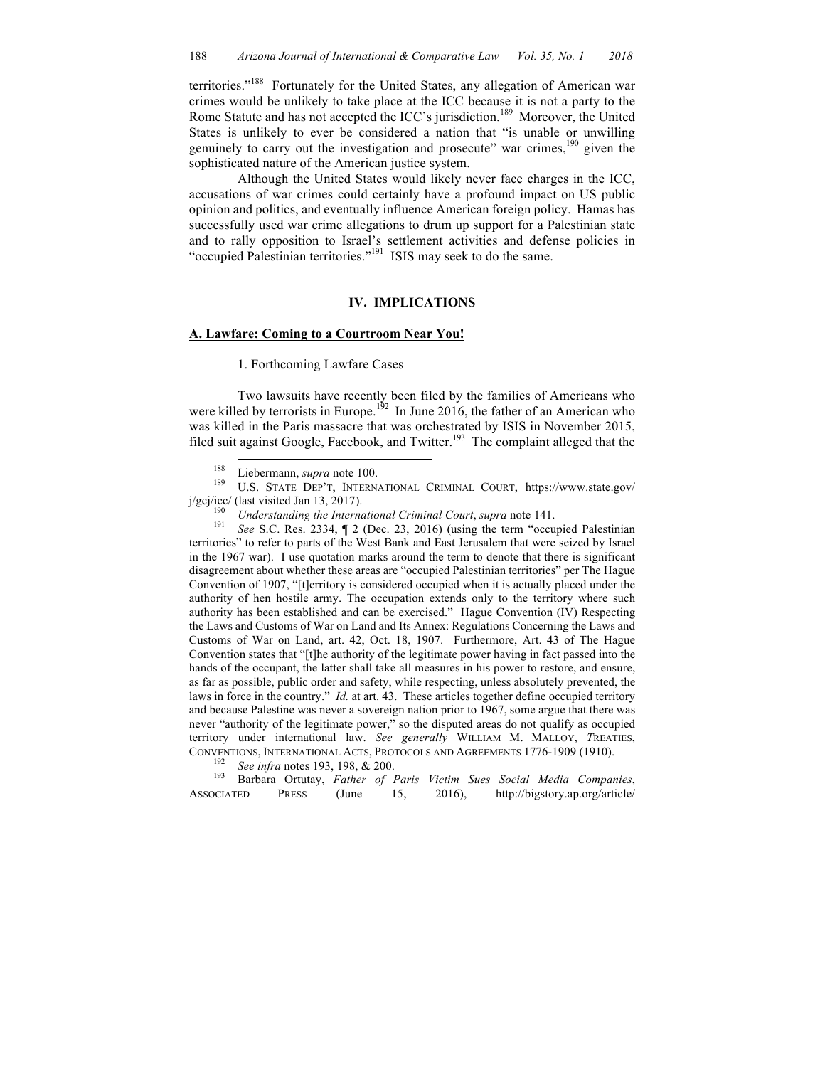territories."<sup>188</sup> Fortunately for the United States, any allegation of American war crimes would be unlikely to take place at the ICC because it is not a party to the Rome Statute and has not accepted the ICC's jurisdiction.<sup>189</sup> Moreover, the United States is unlikely to ever be considered a nation that "is unable or unwilling genuinely to carry out the investigation and prosecute" war crimes, $190$  given the sophisticated nature of the American justice system.

Although the United States would likely never face charges in the ICC, accusations of war crimes could certainly have a profound impact on US public opinion and politics, and eventually influence American foreign policy. Hamas has successfully used war crime allegations to drum up support for a Palestinian state and to rally opposition to Israel's settlement activities and defense policies in "occupied Palestinian territories."<sup>191</sup> ISIS may seek to do the same.

# **IV. IMPLICATIONS**

# **A. Lawfare: Coming to a Courtroom Near You!**

# 1. Forthcoming Lawfare Cases

Two lawsuits have recently been filed by the families of Americans who were killed by terrorists in Europe.<sup>192</sup> In June 2016, the father of an American who was killed in the Paris massacre that was orchestrated by ISIS in November 2015, filed suit against Google, Facebook, and Twitter.<sup>193</sup> The complaint alleged that the

<sup>188</sup> Liebermann, *supra* note 100.<br><sup>189</sup> U.S. STATE DEP'T, INTERNATIONAL CRIMINAL COURT, https://www.state.gov/ j/gcj/icc/ (last visited Jan 13, 2017). <sup>190</sup> *Understanding the International Criminal Court*, *supra* note 141. <sup>191</sup> *See* S.C. Res. 2334, ¶ 2 (Dec. 23, 2016) (using the term "occupied Palestinian

territories" to refer to parts of the West Bank and East Jerusalem that were seized by Israel in the 1967 war). I use quotation marks around the term to denote that there is significant disagreement about whether these areas are "occupied Palestinian territories" per The Hague Convention of 1907, "[t]erritory is considered occupied when it is actually placed under the authority of hen hostile army. The occupation extends only to the territory where such authority has been established and can be exercised." Hague Convention (IV) Respecting the Laws and Customs of War on Land and Its Annex: Regulations Concerning the Laws and Customs of War on Land, art. 42, Oct. 18, 1907. Furthermore, Art. 43 of The Hague Convention states that "[t]he authority of the legitimate power having in fact passed into the hands of the occupant, the latter shall take all measures in his power to restore, and ensure, as far as possible, public order and safety, while respecting, unless absolutely prevented, the laws in force in the country." *Id.* at art. 43. These articles together define occupied territory and because Palestine was never a sovereign nation prior to 1967, some argue that there was never "authority of the legitimate power," so the disputed areas do not qualify as occupied territory under international law. *See generally* WILLIAM M. MALLOY, *T*REATIES, CONVENTIONS, INTERNATIONAL ACTS, PROTOCOLS AND AGREEMENTS 1776-1909 (1910). 192 *See infra* notes 193, 198, & 200. 193 Barbara Ortutay, *Father of Paris Victim Sues Social Media Companies*,

ASSOCIATED PRESS (June 15, 2016), http://bigstory.ap.org/article/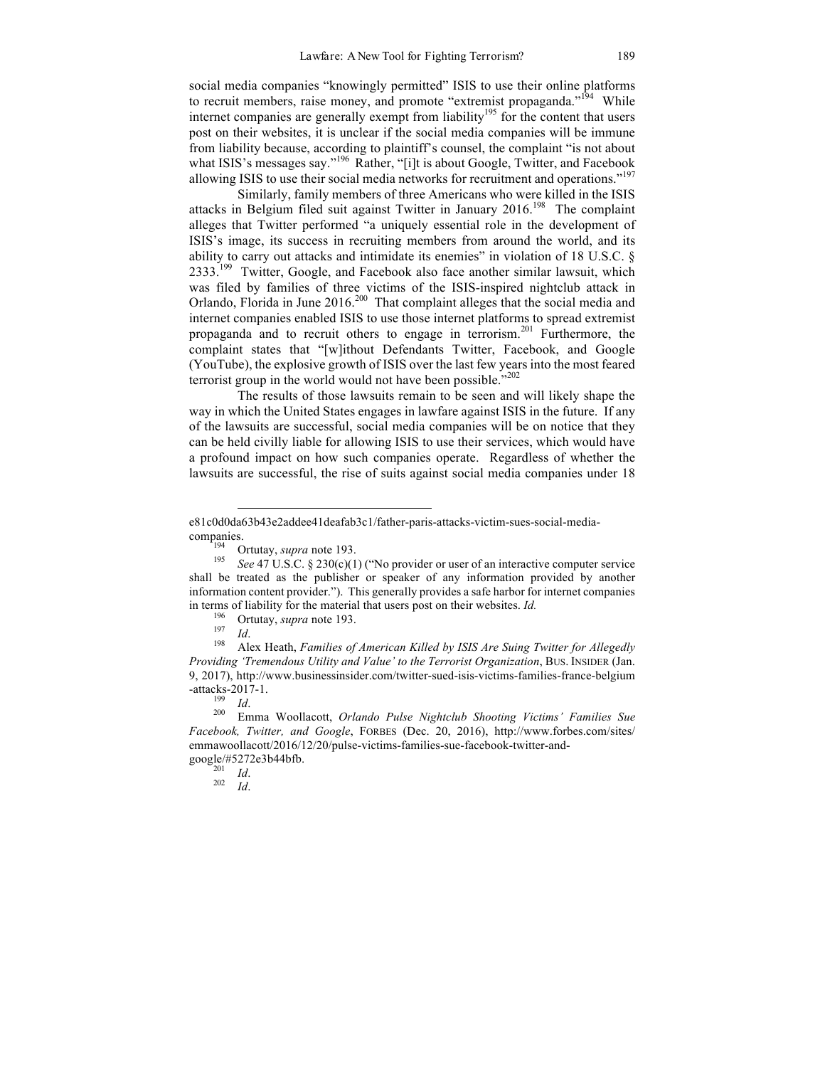social media companies "knowingly permitted" ISIS to use their online platforms to recruit members, raise money, and promote "extremist propaganda."<sup>194</sup> While internet companies are generally exempt from liability<sup>195</sup> for the content that users post on their websites, it is unclear if the social media companies will be immune from liability because, according to plaintiff's counsel, the complaint "is not about what ISIS's messages say."<sup>196</sup> Rather, "[i]t is about Google, Twitter, and Facebook allowing ISIS to use their social media networks for recruitment and operations."197

Similarly, family members of three Americans who were killed in the ISIS attacks in Belgium filed suit against Twitter in January  $2016$ <sup>198</sup> The complaint alleges that Twitter performed "a uniquely essential role in the development of ISIS's image, its success in recruiting members from around the world, and its ability to carry out attacks and intimidate its enemies" in violation of 18 U.S.C. §  $2333<sup>199</sup>$  Twitter, Google, and Facebook also face another similar lawsuit, which was filed by families of three victims of the ISIS-inspired nightclub attack in Orlando, Florida in June 2016.<sup>200</sup> That complaint alleges that the social media and internet companies enabled ISIS to use those internet platforms to spread extremist propaganda and to recruit others to engage in terrorism.<sup>201</sup> Furthermore, the complaint states that "[w]ithout Defendants Twitter, Facebook, and Google (YouTube), the explosive growth of ISIS over the last few years into the most feared terrorist group in the world would not have been possible."<sup>202</sup>

The results of those lawsuits remain to be seen and will likely shape the way in which the United States engages in lawfare against ISIS in the future. If any of the lawsuits are successful, social media companies will be on notice that they can be held civilly liable for allowing ISIS to use their services, which would have a profound impact on how such companies operate. Regardless of whether the lawsuits are successful, the rise of suits against social media companies under 18

 $\overline{a}$ 

*Providing 'Tremendous Utility and Value' to the Terrorist Organization*, BUS. INSIDER (Jan. 9, 2017), http://www.businessinsider.com/twitter-sued-isis-victims-families-france-belgium

-attacks-2017-1. <sup>199</sup> *Id*. 200 Emma Woollacott, *Orlando Pulse Nightclub Shooting Victims' Families Sue Facebook, Twitter, and Google*, FORBES (Dec. 20, 2016), http://www.forbes.com/sites/ emmawoollacott/2016/12/20/pulse-victims-families-sue-facebook-twitter-andgoogle/#5272e3b44bfb. <sup>201</sup> *Id*. <sup>202</sup> *Id*.

e81c0d0da63b43e2addee41deafab3c1/father-paris-attacks-victim-sues-social-mediacompanies.<br><sup>194</sup> Ortutay, *supra* note 193.<br><sup>195</sup> *See* 47 U.S.C. § 230(c)(1) ("No provider or user of an interactive computer service

shall be treated as the publisher or speaker of any information provided by another information content provider."). This generally provides a safe harbor for internet companies in terms of liability for the material that users post on their websites. *Id.*<br><sup>196</sup> Ortutay, *supra* note 193.<br><sup>197</sup> *Id.*<br>Alex Heath, *Families of American Killed by ISIS Are Suing Twitter for Allegedly*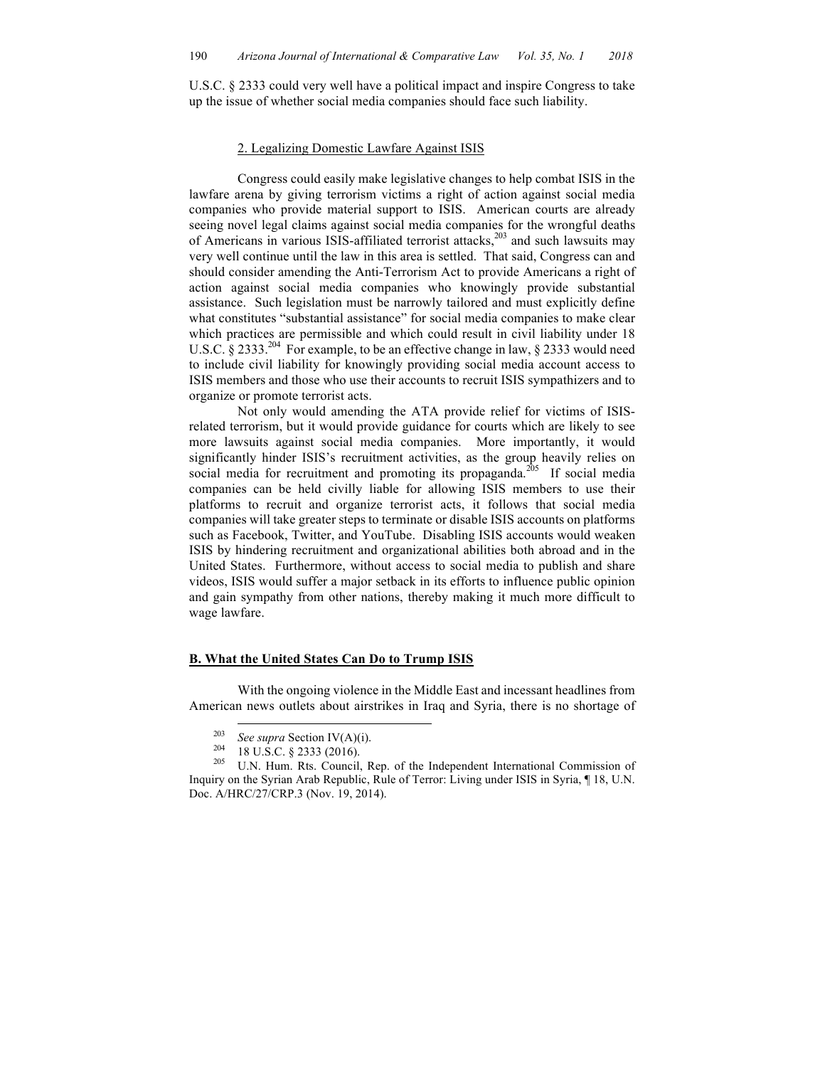U.S.C. § 2333 could very well have a political impact and inspire Congress to take up the issue of whether social media companies should face such liability.

# 2. Legalizing Domestic Lawfare Against ISIS

Congress could easily make legislative changes to help combat ISIS in the lawfare arena by giving terrorism victims a right of action against social media companies who provide material support to ISIS. American courts are already seeing novel legal claims against social media companies for the wrongful deaths of Americans in various ISIS-affiliated terrorist attacks,<sup>203</sup> and such lawsuits may very well continue until the law in this area is settled. That said, Congress can and should consider amending the Anti-Terrorism Act to provide Americans a right of action against social media companies who knowingly provide substantial assistance. Such legislation must be narrowly tailored and must explicitly define what constitutes "substantial assistance" for social media companies to make clear which practices are permissible and which could result in civil liability under 18 U.S.C. § 2333.<sup>204</sup> For example, to be an effective change in law, § 2333 would need to include civil liability for knowingly providing social media account access to ISIS members and those who use their accounts to recruit ISIS sympathizers and to organize or promote terrorist acts.

Not only would amending the ATA provide relief for victims of ISISrelated terrorism, but it would provide guidance for courts which are likely to see more lawsuits against social media companies. More importantly, it would significantly hinder ISIS's recruitment activities, as the group heavily relies on social media for recruitment and promoting its propaganda.<sup>205</sup> If social media companies can be held civilly liable for allowing ISIS members to use their platforms to recruit and organize terrorist acts, it follows that social media companies will take greater steps to terminate or disable ISIS accounts on platforms such as Facebook, Twitter, and YouTube. Disabling ISIS accounts would weaken ISIS by hindering recruitment and organizational abilities both abroad and in the United States. Furthermore, without access to social media to publish and share videos, ISIS would suffer a major setback in its efforts to influence public opinion and gain sympathy from other nations, thereby making it much more difficult to wage lawfare.

#### **B. What the United States Can Do to Trump ISIS**

With the ongoing violence in the Middle East and incessant headlines from American news outlets about airstrikes in Iraq and Syria, there is no shortage of

<sup>&</sup>lt;sup>203</sup> *See supra* Section IV(A)(i).<br><sup>204</sup> 18 U.S.C. § 2333 (2016).<br><sup>205</sup> U.N. Hum. Rts. Council, Rep. of the Independent International Commission of Inquiry on the Syrian Arab Republic, Rule of Terror: Living under ISIS in Syria, ¶ 18, U.N. Doc. A/HRC/27/CRP.3 (Nov. 19, 2014).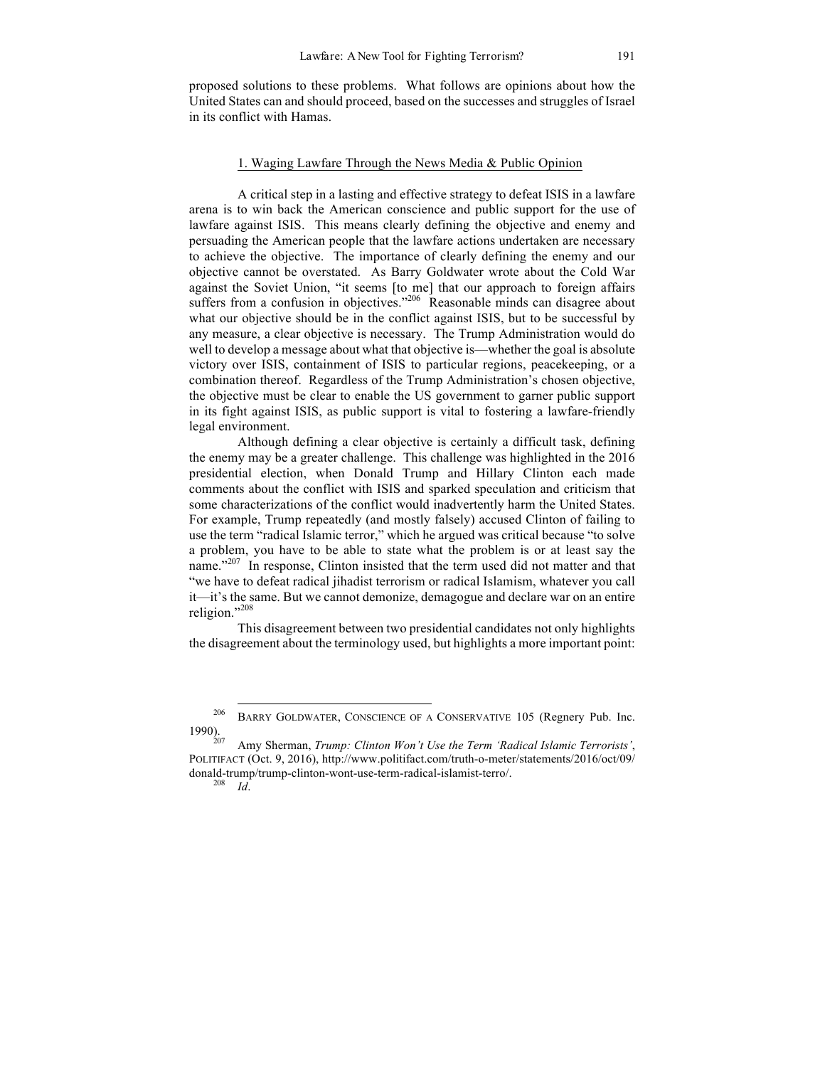proposed solutions to these problems. What follows are opinions about how the United States can and should proceed, based on the successes and struggles of Israel in its conflict with Hamas.

## 1. Waging Lawfare Through the News Media & Public Opinion

A critical step in a lasting and effective strategy to defeat ISIS in a lawfare arena is to win back the American conscience and public support for the use of lawfare against ISIS. This means clearly defining the objective and enemy and persuading the American people that the lawfare actions undertaken are necessary to achieve the objective. The importance of clearly defining the enemy and our objective cannot be overstated. As Barry Goldwater wrote about the Cold War against the Soviet Union, "it seems [to me] that our approach to foreign affairs suffers from a confusion in objectives."<sup>206</sup> Reasonable minds can disagree about what our objective should be in the conflict against ISIS, but to be successful by any measure, a clear objective is necessary. The Trump Administration would do well to develop a message about what that objective is—whether the goal is absolute victory over ISIS, containment of ISIS to particular regions, peacekeeping, or a combination thereof. Regardless of the Trump Administration's chosen objective, the objective must be clear to enable the US government to garner public support in its fight against ISIS, as public support is vital to fostering a lawfare-friendly legal environment.

Although defining a clear objective is certainly a difficult task, defining the enemy may be a greater challenge. This challenge was highlighted in the 2016 presidential election, when Donald Trump and Hillary Clinton each made comments about the conflict with ISIS and sparked speculation and criticism that some characterizations of the conflict would inadvertently harm the United States. For example, Trump repeatedly (and mostly falsely) accused Clinton of failing to use the term "radical Islamic terror," which he argued was critical because "to solve a problem, you have to be able to state what the problem is or at least say the name."<sup>207</sup> In response, Clinton insisted that the term used did not matter and that "we have to defeat radical jihadist terrorism or radical Islamism, whatever you call it—it's the same. But we cannot demonize, demagogue and declare war on an entire religion."208

This disagreement between two presidential candidates not only highlights the disagreement about the terminology used, but highlights a more important point:

<sup>&</sup>lt;sup>206</sup> BARRY GOLDWATER, CONSCIENCE OF A CONSERVATIVE 105 (Regnery Pub. Inc. 1990).

<sup>1990).</sup> <sup>207</sup> Amy Sherman, *Trump: Clinton Won't Use the Term 'Radical Islamic Terrorists'*, POLITIFACT (Oct. 9, 2016), http://www.politifact.com/truth-o-meter/statements/2016/oct/09/ donald-trump/trump-clinton-wont-use-term-radical-islamist-terro/. <sup>208</sup> *Id*.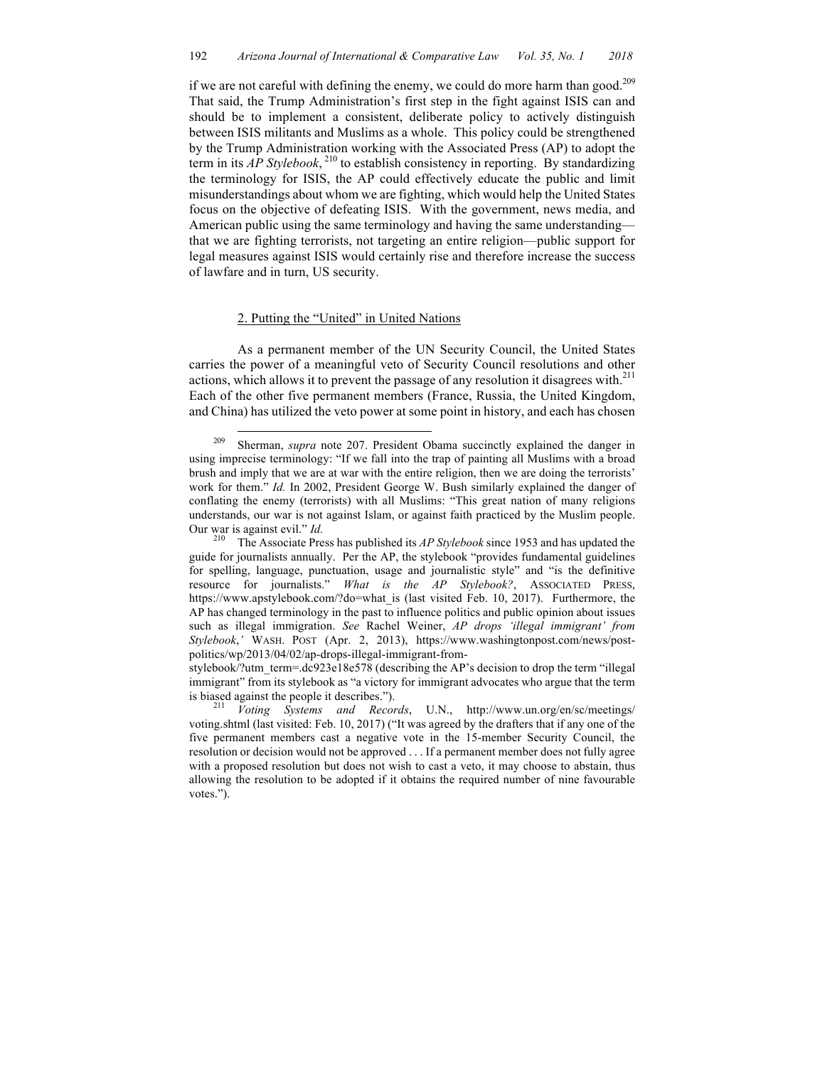if we are not careful with defining the enemy, we could do more harm than good.<sup>209</sup> That said, the Trump Administration's first step in the fight against ISIS can and should be to implement a consistent, deliberate policy to actively distinguish between ISIS militants and Muslims as a whole. This policy could be strengthened by the Trump Administration working with the Associated Press (AP) to adopt the term in its  $AP$  Stylebook,<sup>210</sup> to establish consistency in reporting. By standardizing the terminology for ISIS, the AP could effectively educate the public and limit misunderstandings about whom we are fighting, which would help the United States focus on the objective of defeating ISIS. With the government, news media, and American public using the same terminology and having the same understanding that we are fighting terrorists, not targeting an entire religion—public support for legal measures against ISIS would certainly rise and therefore increase the success of lawfare and in turn, US security.

# 2. Putting the "United" in United Nations

As a permanent member of the UN Security Council, the United States carries the power of a meaningful veto of Security Council resolutions and other actions, which allows it to prevent the passage of any resolution it disagrees with.<sup>211</sup> Each of the other five permanent members (France, Russia, the United Kingdom, and China) has utilized the veto power at some point in history, and each has chosen

 <sup>209</sup> Sherman, *supra* note 207. President Obama succinctly explained the danger in using imprecise terminology: "If we fall into the trap of painting all Muslims with a broad brush and imply that we are at war with the entire religion, then we are doing the terrorists' work for them." *Id.* In 2002, President George W. Bush similarly explained the danger of conflating the enemy (terrorists) with all Muslims: "This great nation of many religions understands, our war is not against Islam, or against faith practiced by the Muslim people.

Our war is against evil." *Id.* <sup>210</sup> The Associate Press has published its *AP Stylebook* since 1953 and has updated the guide for journalists annually. Per the AP, the stylebook "provides fundamental guidelines for spelling, language, punctuation, usage and journalistic style" and "is the definitive resource for journalists." *What is the AP Stylebook?*, ASSOCIATED PRESS, https://www.apstylebook.com/?do=what is (last visited Feb. 10, 2017). Furthermore, the AP has changed terminology in the past to influence politics and public opinion about issues such as illegal immigration. *See* Rachel Weiner, *AP drops 'illegal immigrant' from Stylebook*,*'* WASH. POST (Apr. 2, 2013), https://www.washingtonpost.com/news/postpolitics/wp/2013/04/02/ap-drops-illegal-immigrant-from-

stylebook/?utm\_term=.dc923e18e578 (describing the AP's decision to drop the term "illegal immigrant" from its stylebook as "a victory for immigrant advocates who argue that the term is biased against the people it describes."). <sup>211</sup> *Voting Systems and Records*, U.N., http://www.un.org/en/sc/meetings/

voting.shtml (last visited: Feb. 10, 2017) ("It was agreed by the drafters that if any one of the five permanent members cast a negative vote in the 15-member Security Council, the resolution or decision would not be approved . . . If a permanent member does not fully agree with a proposed resolution but does not wish to cast a veto, it may choose to abstain, thus allowing the resolution to be adopted if it obtains the required number of nine favourable votes.").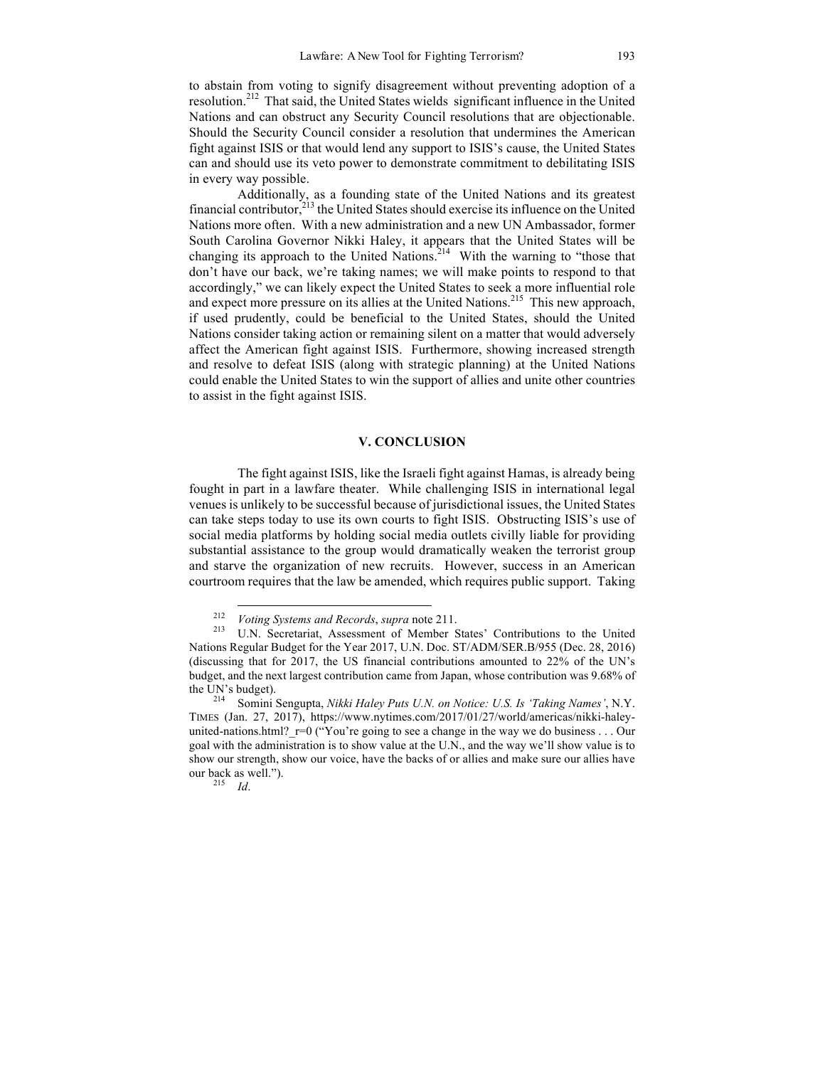to abstain from voting to signify disagreement without preventing adoption of a resolution.212 That said, the United States wields significant influence in the United Nations and can obstruct any Security Council resolutions that are objectionable. Should the Security Council consider a resolution that undermines the American fight against ISIS or that would lend any support to ISIS's cause, the United States can and should use its veto power to demonstrate commitment to debilitating ISIS in every way possible.

Additionally, as a founding state of the United Nations and its greatest financial contributor,  $2^{13}$  the United States should exercise its influence on the United Nations more often. With a new administration and a new UN Ambassador, former South Carolina Governor Nikki Haley, it appears that the United States will be changing its approach to the United Nations.<sup>214</sup> With the warning to "those that don't have our back, we're taking names; we will make points to respond to that accordingly," we can likely expect the United States to seek a more influential role and expect more pressure on its allies at the United Nations. 215 This new approach, if used prudently, could be beneficial to the United States, should the United Nations consider taking action or remaining silent on a matter that would adversely affect the American fight against ISIS. Furthermore, showing increased strength and resolve to defeat ISIS (along with strategic planning) at the United Nations could enable the United States to win the support of allies and unite other countries to assist in the fight against ISIS.

#### **V. CONCLUSION**

The fight against ISIS, like the Israeli fight against Hamas, is already being fought in part in a lawfare theater. While challenging ISIS in international legal venues is unlikely to be successful because of jurisdictional issues, the United States can take steps today to use its own courts to fight ISIS. Obstructing ISIS's use of social media platforms by holding social media outlets civilly liable for providing substantial assistance to the group would dramatically weaken the terrorist group and starve the organization of new recruits. However, success in an American courtroom requires that the law be amended, which requires public support. Taking

<sup>212</sup> *Voting Systems and Records*, *supra* note 211. <sup>213</sup> U.N. Secretariat, Assessment of Member States' Contributions to the United Nations Regular Budget for the Year 2017, U.N. Doc. ST/ADM/SER.B/955 (Dec. 28, 2016) (discussing that for 2017, the US financial contributions amounted to 22% of the UN's budget, and the next largest contribution came from Japan, whose contribution was 9.68% of the UN's budget). <sup>214</sup> Somini Sengupta, *Nikki Haley Puts U.N. on Notice: U.S. Is 'Taking Names'*, N.Y.

TIMES (Jan. 27, 2017), https://www.nytimes.com/2017/01/27/world/americas/nikki-haleyunited-nations.html?  $r=0$  ("You're going to see a change in the way we do business . . . Our goal with the administration is to show value at the U.N., and the way we'll show value is to show our strength, show our voice, have the backs of or allies and make sure our allies have our back as well."). <sup>215</sup> *Id*.